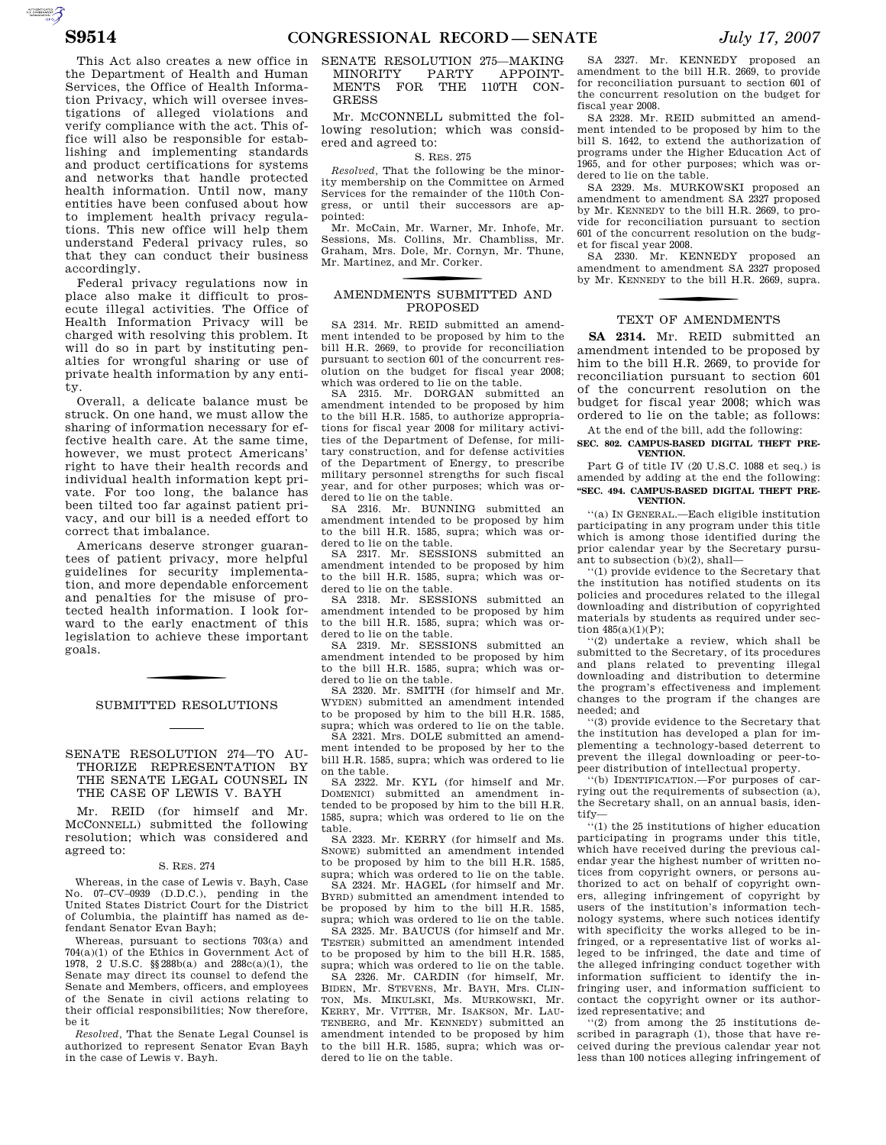$\sum_{\text{SUSMATION}}$ 

This Act also creates a new office in the Department of Health and Human Services, the Office of Health Information Privacy, which will oversee investigations of alleged violations and verify compliance with the act. This office will also be responsible for establishing and implementing standards and product certifications for systems and networks that handle protected health information. Until now, many entities have been confused about how to implement health privacy regulations. This new office will help them understand Federal privacy rules, so that they can conduct their business accordingly.

Federal privacy regulations now in place also make it difficult to prosecute illegal activities. The Office of Health Information Privacy will be charged with resolving this problem. It will do so in part by instituting penalties for wrongful sharing or use of private health information by any entity.

Overall, a delicate balance must be struck. On one hand, we must allow the sharing of information necessary for effective health care. At the same time, however, we must protect Americans' right to have their health records and individual health information kept private. For too long, the balance has been tilted too far against patient privacy, and our bill is a needed effort to correct that imbalance.

Americans deserve stronger guarantees of patient privacy, more helpful guidelines for security implementation, and more dependable enforcement and penalties for the misuse of protected health information. I look forward to the early enactment of this legislation to achieve these important goals.

# SUBMITTED RESOLUTIONS

# SENATE RESOLUTION 274—TO AU-THORIZE REPRESENTATION BY THE SENATE LEGAL COUNSEL IN THE CASE OF LEWIS V. BAYH

Mr. REID (for himself and Mr. MCCONNELL) submitted the following resolution; which was considered and agreed to:

## S. RES. 274

Whereas, in the case of Lewis v. Bayh, Case No. 07–CV–0939 (D.D.C.), pending in the United States District Court for the District of Columbia, the plaintiff has named as defendant Senator Evan Bayh;

Whereas, pursuant to sections 703(a) and 704(a)(1) of the Ethics in Government Act of 1978, 2 U.S.C. §§ 288b(a) and 288c(a)(1), the Senate may direct its counsel to defend the Senate and Members, officers, and employees of the Senate in civil actions relating to their official responsibilities; Now therefore, be it

*Resolved,* That the Senate Legal Counsel is authorized to represent Senator Evan Bayh in the case of Lewis v. Bayh.

# SENATE RESOLUTION 275-MAKING<br>MINORITY PARTY APPOINT-MINORITY PARTY APPOINT-MENTS FOR THE 110TH CON-GRESS

Mr. MCCONNELL submitted the following resolution; which was considered and agreed to:

#### S. RES. 275

*Resolved,* That the following be the minority membership on the Committee on Armed Services for the remainder of the 110th Congress, or until their successors are appointed:

Mr. McCain, Mr. Warner, Mr. Inhofe, Mr. Sessions, Ms. Collins, Mr. Chambliss, Mr. Graham, Mrs. Dole, Mr. Cornyn, Mr. Thune, Mr. Martinez, and Mr. Corker.

# f AMENDMENTS SUBMITTED AND PROPOSED

SA 2314. Mr. REID submitted an amendment intended to be proposed by him to the bill H.R. 2669, to provide for reconciliation pursuant to section 601 of the concurrent resolution on the budget for fiscal year 2008; which was ordered to lie on the table.

SA 2315. Mr. DORGAN submitted an amendment intended to be proposed by him to the bill H.R. 1585, to authorize appropriations for fiscal year 2008 for military activities of the Department of Defense, for military construction, and for defense activities of the Department of Energy, to prescribe military personnel strengths for such fiscal year, and for other purposes; which was ordered to lie on the table.

SA 2316. Mr. BUNNING submitted an amendment intended to be proposed by him to the bill H.R. 1585, supra; which was ordered to lie on the table.

SA 2317. Mr. SESSIONS submitted an amendment intended to be proposed by him to the bill H.R. 1585, supra; which was ordered to lie on the table.

SA 2318. Mr. SESSIONS submitted an amendment intended to be proposed by him to the bill H.R. 1585, supra; which was ordered to lie on the table.

SA 2319. Mr. SESSIONS submitted an amendment intended to be proposed by him to the bill H.R. 1585, supra; which was ordered to lie on the table.

SA 2320. Mr. SMITH (for himself and Mr. WYDEN) submitted an amendment intended to be proposed by him to the bill H.R. 1585, supra; which was ordered to lie on the table.

SA 2321. Mrs. DOLE submitted an amendment intended to be proposed by her to the bill H.R. 1585, supra; which was ordered to lie on the table.

SA 2322. Mr. KYL (for himself and Mr. DOMENICI) submitted an amendment intended to be proposed by him to the bill H.R. 1585, supra; which was ordered to lie on the table.

SA 2323. Mr. KERRY (for himself and Ms. SNOWE) submitted an amendment intended to be proposed by him to the bill H.R. 1585, supra; which was ordered to lie on the table.

SA 2324. Mr. HAGEL (for himself and Mr. BYRD) submitted an amendment intended to be proposed by him to the bill H.R. 1585, supra; which was ordered to lie on the table. SA 2325. Mr. BAUCUS (for himself and Mr.

TESTER) submitted an amendment intended to be proposed by him to the bill H.R. 1585, supra; which was ordered to lie on the table.

SA 2326. Mr. CARDIN (for himself, Mr. BIDEN, Mr. STEVENS, Mr. BAYH, Mrs. CLIN-TON, Ms. MIKULSKI, Ms. MURKOWSKI, Mr. KERRY, Mr. VITTER, Mr. ISAKSON, Mr. LAU-TENBERG, and Mr. KENNEDY) submitted an amendment intended to be proposed by him to the bill H.R. 1585, supra; which was ordered to lie on the table.

SA 2327. Mr. KENNEDY proposed an amendment to the bill H.R. 2669, to provide for reconciliation pursuant to section 601 of the concurrent resolution on the budget for fiscal year 2008.

SA 2328. Mr. REID submitted an amendment intended to be proposed by him to the bill S. 1642, to extend the authorization of programs under the Higher Education Act of 1965, and for other purposes; which was ordered to lie on the table.

SA 2329. Ms. MURKOWSKI proposed an amendment to amendment SA 2327 proposed by Mr. KENNEDY to the bill H.R. 2669, to provide for reconciliation pursuant to section 601 of the concurrent resolution on the budget for fiscal year 2008.

SA 2330. Mr. KENNEDY proposed an amendment to amendment SA 2327 proposed by Mr. KENNEDY to the bill H.R. 2669, supra.

# TEXT OF AMENDMENTS

**SA 2314.** Mr. REID submitted an amendment intended to be proposed by him to the bill H.R. 2669, to provide for reconciliation pursuant to section 601 of the concurrent resolution on the budget for fiscal year 2008; which was ordered to lie on the table; as follows: At the end of the bill, add the following:

**SEC. 802. CAMPUS-BASED DIGITAL THEFT PRE-VENTION.** 

Part G of title IV (20 U.S.C. 1088 et seq.) is amended by adding at the end the following: **''SEC. 494. CAMPUS-BASED DIGITAL THEFT PRE-VENTION.** 

''(a) IN GENERAL.—Each eligible institution participating in any program under this title which is among those identified during the prior calendar year by the Secretary pursuant to subsection (b)(2), shall—

''(1) provide evidence to the Secretary that the institution has notified students on its policies and procedures related to the illegal downloading and distribution of copyrighted materials by students as required under section  $485(a)(1)(P)$ ;

''(2) undertake a review, which shall be submitted to the Secretary, of its procedures and plans related to preventing illegal downloading and distribution to determine the program's effectiveness and implement changes to the program if the changes are needed; and

''(3) provide evidence to the Secretary that the institution has developed a plan for implementing a technology-based deterrent to prevent the illegal downloading or peer-topeer distribution of intellectual property.

''(b) IDENTIFICATION.—For purposes of carrying out the requirements of subsection (a), the Secretary shall, on an annual basis, identify—

''(1) the 25 institutions of higher education participating in programs under this title, which have received during the previous calendar year the highest number of written notices from copyright owners, or persons authorized to act on behalf of copyright owners, alleging infringement of copyright by users of the institution's information technology systems, where such notices identify with specificity the works alleged to be infringed, or a representative list of works alleged to be infringed, the date and time of the alleged infringing conduct together with information sufficient to identify the infringing user, and information sufficient to contact the copyright owner or its authorized representative; and

''(2) from among the 25 institutions described in paragraph (1), those that have received during the previous calendar year not less than 100 notices alleging infringement of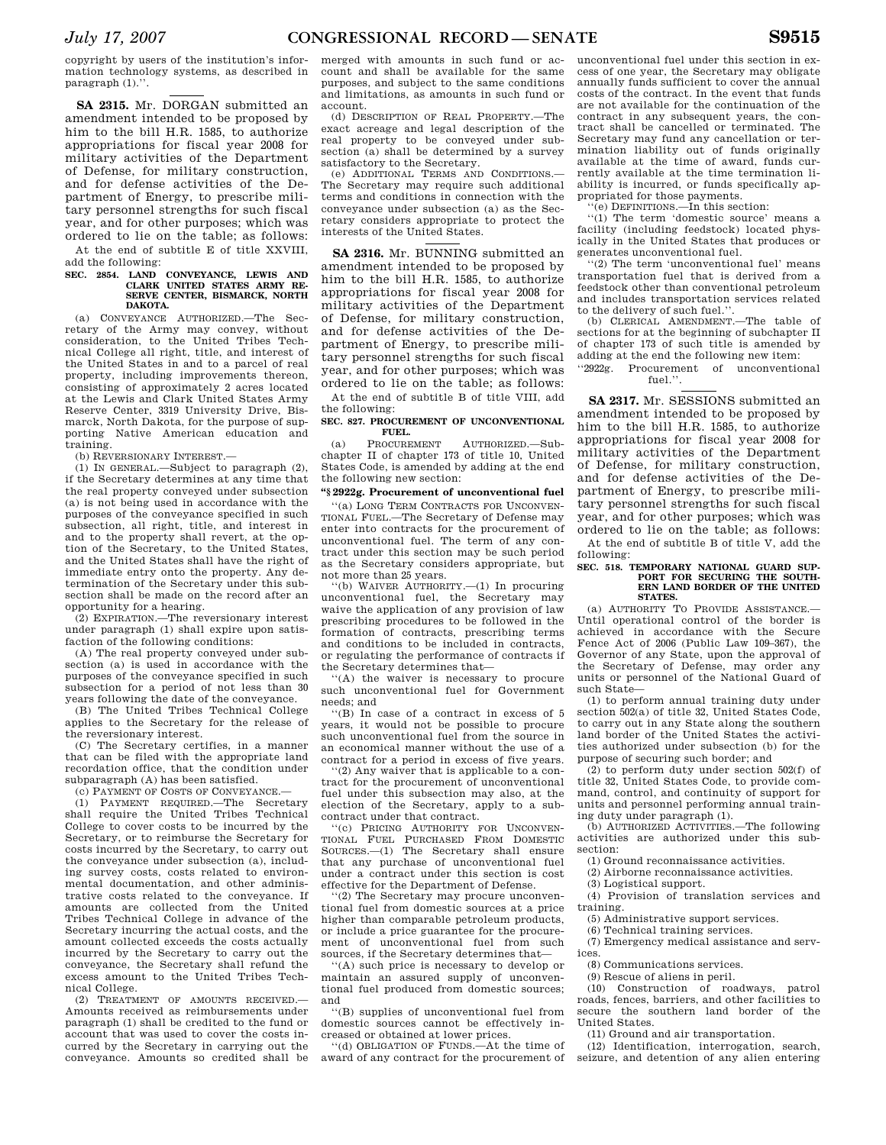copyright by users of the institution's information technology systems, as described in paragraph (1).''.

**SA 2315.** Mr. DORGAN submitted an amendment intended to be proposed by him to the bill H.R. 1585, to authorize appropriations for fiscal year 2008 for military activities of the Department of Defense, for military construction, and for defense activities of the Department of Energy, to prescribe military personnel strengths for such fiscal year, and for other purposes; which was ordered to lie on the table; as follows:

At the end of subtitle E of title XXVIII, add the following:

# **SEC. 2854. LAND CONVEYANCE, LEWIS AND CLARK UNITED STATES ARMY RE-SERVE CENTER, BISMARCK, NORTH DAKOTA.**

(a) CONVEYANCE AUTHORIZED.—The Secretary of the Army may convey, without consideration, to the United Tribes Technical College all right, title, and interest of the United States in and to a parcel of real property, including improvements thereon, consisting of approximately 2 acres located at the Lewis and Clark United States Army Reserve Center, 3319 University Drive, Bismarck, North Dakota, for the purpose of supporting Native American education and training.

(b) REVERSIONARY INTEREST.—

(1) IN GENERAL.—Subject to paragraph (2), if the Secretary determines at any time that the real property conveyed under subsection (a) is not being used in accordance with the purposes of the conveyance specified in such subsection, all right, title, and interest in and to the property shall revert, at the option of the Secretary, to the United States, and the United States shall have the right of immediate entry onto the property. Any determination of the Secretary under this subsection shall be made on the record after an opportunity for a hearing.

(2) EXPIRATION.—The reversionary interest under paragraph (1) shall expire upon satisfaction of the following conditions:

(A) The real property conveyed under subsection (a) is used in accordance with the purposes of the conveyance specified in such subsection for a period of not less than 30 years following the date of the conveyance.

(B) The United Tribes Technical College applies to the Secretary for the release of the reversionary interest.

(C) The Secretary certifies, in a manner that can be filed with the appropriate land recordation office, that the condition under subparagraph (A) has been satisfied.

(c) PAYMENT OF COSTS OF CONVEYANCE.—

(1) PAYMENT REQUIRED.—The Secretary shall require the United Tribes Technical College to cover costs to be incurred by the Secretary, or to reimburse the Secretary for costs incurred by the Secretary, to carry out the conveyance under subsection (a), including survey costs, costs related to environmental documentation, and other administrative costs related to the conveyance. If amounts are collected from the United Tribes Technical College in advance of the Secretary incurring the actual costs, and the amount collected exceeds the costs actually incurred by the Secretary to carry out the conveyance, the Secretary shall refund the excess amount to the United Tribes Technical College.

(2) TREATMENT OF AMOUNTS RECEIVED.— Amounts received as reimbursements under paragraph (1) shall be credited to the fund or account that was used to cover the costs incurred by the Secretary in carrying out the conveyance. Amounts so credited shall be

merged with amounts in such fund or account and shall be available for the same purposes, and subject to the same conditions and limitations, as amounts in such fund or account.

(d) DESCRIPTION OF REAL PROPERTY.—The exact acreage and legal description of the real property to be conveyed under subsection (a) shall be determined by a survey satisfactory to the Secretary.

(e) ADDITIONAL TERMS AND CONDITIONS.— The Secretary may require such additional terms and conditions in connection with the conveyance under subsection (a) as the Secretary considers appropriate to protect the interests of the United States.

**SA 2316.** Mr. BUNNING submitted an amendment intended to be proposed by him to the bill H.R. 1585, to authorize appropriations for fiscal year 2008 for military activities of the Department of Defense, for military construction, and for defense activities of the Department of Energy, to prescribe military personnel strengths for such fiscal year, and for other purposes; which was ordered to lie on the table; as follows:

At the end of subtitle B of title VIII, add the following:

**SEC. 827. PROCUREMENT OF UNCONVENTIONAL FUEL.**<br>PROCUREMENT

(a) PROCUREMENT AUTHORIZED.—Subchapter II of chapter 173 of title 10, United States Code, is amended by adding at the end the following new section:

# **''§ 2922g. Procurement of unconventional fuel**

''(a) LONG TERM CONTRACTS FOR UNCONVEN-TIONAL FUEL.—The Secretary of Defense may enter into contracts for the procurement of unconventional fuel. The term of any contract under this section may be such period as the Secretary considers appropriate, but not more than 25 years.

''(b) WAIVER AUTHORITY.—(1) In procuring unconventional fuel, the Secretary may waive the application of any provision of law prescribing procedures to be followed in the formation of contracts, prescribing terms and conditions to be included in contracts, or regulating the performance of contracts if the Secretary determines that—

''(A) the waiver is necessary to procure such unconventional fuel for Government needs; and

''(B) In case of a contract in excess of 5 years, it would not be possible to procure such unconventional fuel from the source in an economical manner without the use of a contract for a period in excess of five years.

''(2) Any waiver that is applicable to a contract for the procurement of unconventional fuel under this subsection may also, at the election of the Secretary, apply to a subcontract under that contract.

''(c) PRICING AUTHORITY FOR UNCONVEN-TIONAL FUEL PURCHASED FROM DOMESTIC SOURCES.—(1) The Secretary shall ensure that any purchase of unconventional fuel under a contract under this section is cost effective for the Department of Defense.

''(2) The Secretary may procure unconventional fuel from domestic sources at a price higher than comparable petroleum products, or include a price guarantee for the procurement of unconventional fuel from such sources, if the Secretary determines that—

''(A) such price is necessary to develop or maintain an assured supply of unconventional fuel produced from domestic sources; and

''(B) supplies of unconventional fuel from domestic sources cannot be effectively increased or obtained at lower prices.

''(d) OBLIGATION OF FUNDS.—At the time of award of any contract for the procurement of

unconventional fuel under this section in excess of one year, the Secretary may obligate annually funds sufficient to cover the annual costs of the contract. In the event that funds are not available for the continuation of the contract in any subsequent years, the contract shall be cancelled or terminated. The Secretary may fund any cancellation or termination liability out of funds originally available at the time of award, funds currently available at the time termination liability is incurred, or funds specifically appropriated for those payments.

 $\overline{e}(e)$  DEFINITIONS.—In this section:

''(1) The term 'domestic source' means a facility (including feedstock) located physically in the United States that produces or generates unconventional fuel.

''(2) The term 'unconventional fuel' means transportation fuel that is derived from a feedstock other than conventional petroleum and includes transportation services related to the delivery of such fuel.'

(b) CLERICAL AMENDMENT.—The table of sections for at the beginning of subchapter II of chapter 173 of such title is amended by adding at the end the following new item:

''2922g. Procurement of unconventional fuel.''.

**SA 2317.** Mr. SESSIONS submitted an amendment intended to be proposed by him to the bill H.R. 1585, to authorize appropriations for fiscal year 2008 for military activities of the Department of Defense, for military construction, and for defense activities of the Department of Energy, to prescribe military personnel strengths for such fiscal year, and for other purposes; which was ordered to lie on the table; as follows:

At the end of subtitle B of title V, add the following:

## **SEC. 518. TEMPORARY NATIONAL GUARD SUP-PORT FOR SECURING THE SOUTH-ERN LAND BORDER OF THE UNITED STATES.**

(a) AUTHORITY TO PROVIDE ASSISTANCE.— Until operational control of the border is achieved in accordance with the Secure Fence Act of 2006 (Public Law 109–367), the Governor of any State, upon the approval of the Secretary of Defense, may order any units or personnel of the National Guard of such State—

(1) to perform annual training duty under section 502(a) of title 32, United States Code, to carry out in any State along the southern land border of the United States the activities authorized under subsection (b) for the purpose of securing such border; and

(2) to perform duty under section 502(f) of title 32, United States Code, to provide command, control, and continuity of support for units and personnel performing annual training duty under paragraph (1).

(b) AUTHORIZED ACTIVITIES.—The following activities are authorized under this subsection:

(1) Ground reconnaissance activities.

(2) Airborne reconnaissance activities.

(3) Logistical support.

(4) Provision of translation services and training.

(5) Administrative support services.

(6) Technical training services.

(7) Emergency medical assistance and services.

(8) Communications services.

(9) Rescue of aliens in peril.

(10) Construction of roadways, patrol roads, fences, barriers, and other facilities to secure the southern land border of the United States.

(11) Ground and air transportation.

(12) Identification, interrogation, search, seizure, and detention of any alien entering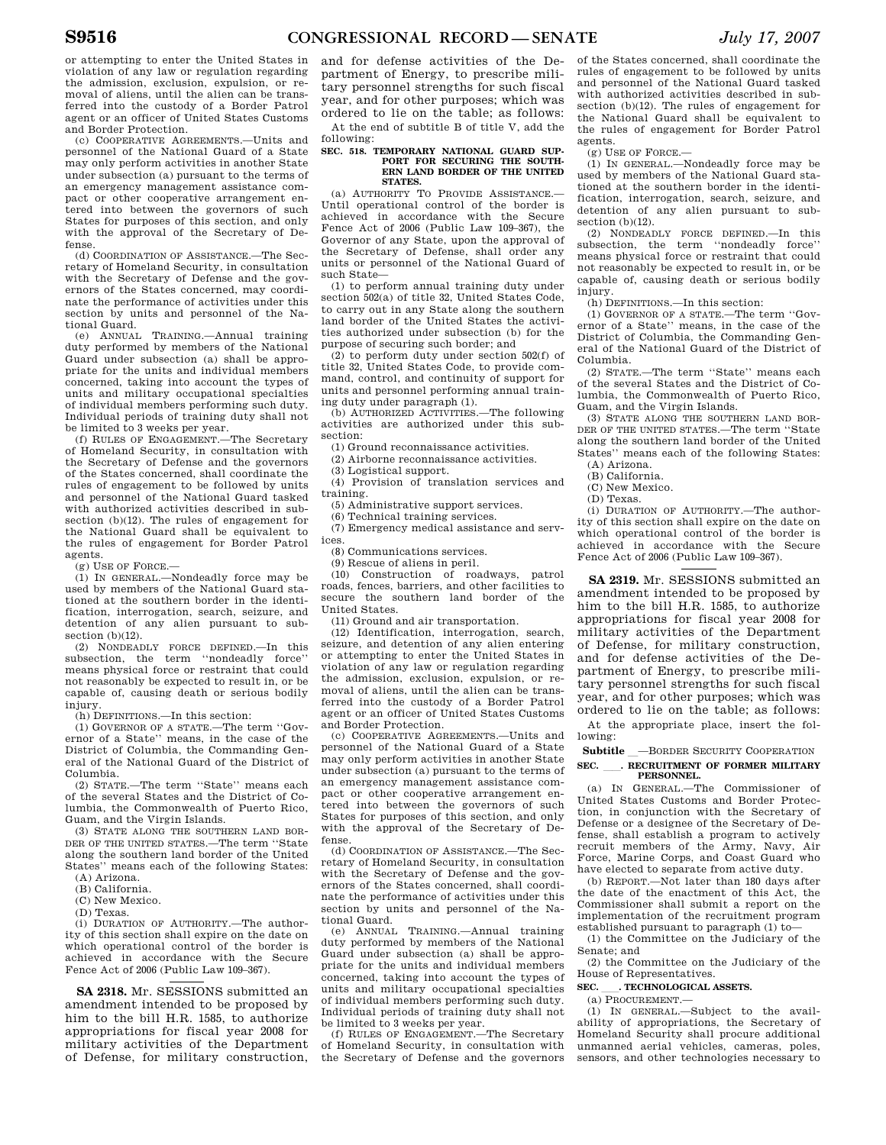or attempting to enter the United States in violation of any law or regulation regarding the admission, exclusion, expulsion, or removal of aliens, until the alien can be transferred into the custody of a Border Patrol agent or an officer of United States Customs and Border Protection.

(c) COOPERATIVE AGREEMENTS.—Units and personnel of the National Guard of a State may only perform activities in another State under subsection (a) pursuant to the terms of an emergency management assistance compact or other cooperative arrangement entered into between the governors of such States for purposes of this section, and only with the approval of the Secretary of Defense.

(d) COORDINATION OF ASSISTANCE.—The Secretary of Homeland Security, in consultation with the Secretary of Defense and the governors of the States concerned, may coordinate the performance of activities under this section by units and personnel of the National Guard.

TRAINING.—Annual training duty performed by members of the National Guard under subsection (a) shall be appropriate for the units and individual members concerned, taking into account the types of units and military occupational specialties of individual members performing such duty. Individual periods of training duty shall not be limited to 3 weeks per year.

(f) RULES OF ENGAGEMENT.—The Secretary of Homeland Security, in consultation with the Secretary of Defense and the governors of the States concerned, shall coordinate the rules of engagement to be followed by units and personnel of the National Guard tasked with authorized activities described in subsection (b)(12). The rules of engagement for the National Guard shall be equivalent to the rules of engagement for Border Patrol agents.

 $(g)$  USE OF FORCE.-

(1) IN GENERAL.—Nondeadly force may be used by members of the National Guard stationed at the southern border in the identification, interrogation, search, seizure, and detention of any alien pursuant to subsection (b)(12).

(2) NONDEADLY FORCE DEFINED.—In this subsection, the term ''nondeadly force'' means physical force or restraint that could not reasonably be expected to result in, or be capable of, causing death or serious bodily injury.

(h) DEFINITIONS.—In this section:

(1) GOVERNOR OF A STATE.—The term ''Governor of a State'' means, in the case of the District of Columbia, the Commanding General of the National Guard of the District of Columbia.

(2) STATE.—The term ''State'' means each of the several States and the District of Columbia, the Commonwealth of Puerto Rico, Guam, and the Virgin Islands.

(3) STATE ALONG THE SOUTHERN LAND BOR-DER OF THE UNITED STATES.—The term ''State along the southern land border of the United States'' means each of the following States:

(A) Arizona.

- (B) California. (C) New Mexico.
- 

(D) Texas.

(i) DURATION OF AUTHORITY.—The authority of this section shall expire on the date on which operational control of the border is achieved in accordance with the Secure Fence Act of 2006 (Public Law 109–367).

**SA 2318.** Mr. SESSIONS submitted an amendment intended to be proposed by him to the bill H.R. 1585, to authorize appropriations for fiscal year 2008 for military activities of the Department of Defense, for military construction, and for defense activities of the Department of Energy, to prescribe military personnel strengths for such fiscal year, and for other purposes; which was ordered to lie on the table; as follows: At the end of subtitle B of title V, add the

following:

# **SEC. 518. TEMPORARY NATIONAL GUARD SUP-PORT FOR SECURING THE SOUTH-ERN LAND BORDER OF THE UNITED STATES.**

(a) AUTHORITY TO PROVIDE ASSISTANCE.— Until operational control of the border is achieved in accordance with the Secure Fence Act of 2006 (Public Law 109–367), the Governor of any State, upon the approval of the Secretary of Defense, shall order any units or personnel of the National Guard of such State—

(1) to perform annual training duty under section 502(a) of title 32, United States Code, to carry out in any State along the southern land border of the United States the activities authorized under subsection (b) for the purpose of securing such border; and

(2) to perform duty under section 502(f) of title 32, United States Code, to provide command, control, and continuity of support for units and personnel performing annual training duty under paragraph (1).

(b) AUTHORIZED ACTIVITIES.—The following activities are authorized under this subsection:

(1) Ground reconnaissance activities.

(2) Airborne reconnaissance activities.

(3) Logistical support.

(4) Provision of translation services and training.

(5) Administrative support services.

(6) Technical training services.

(7) Emergency medical assistance and services.

(8) Communications services.

(9) Rescue of aliens in peril.

(10) Construction of roadways, patrol roads, fences, barriers, and other facilities to secure the southern land border of the United States.

(11) Ground and air transportation.

(12) Identification, interrogation, search, seizure, and detention of any alien entering or attempting to enter the United States in violation of any law or regulation regarding the admission, exclusion, expulsion, or removal of aliens, until the alien can be transferred into the custody of a Border Patrol agent or an officer of United States Customs and Border Protection.

(c) COOPERATIVE AGREEMENTS.—Units and personnel of the National Guard of a State may only perform activities in another State under subsection (a) pursuant to the terms of an emergency management assistance compact or other cooperative arrangement entered into between the governors of such States for purposes of this section, and only with the approval of the Secretary of Defense.

(d) COORDINATION OF ASSISTANCE.—The Secretary of Homeland Security, in consultation with the Secretary of Defense and the governors of the States concerned, shall coordinate the performance of activities under this section by units and personnel of the National Guard.<br>(e) ANNUAL

(e) ANNUAL TRAINING.—Annual training duty performed by members of the National Guard under subsection (a) shall be appropriate for the units and individual members concerned, taking into account the types of units and military occupational specialties of individual members performing such duty. Individual periods of training duty shall not be limited to 3 weeks per year.

(f) RULES OF ENGAGEMENT.—The Secretary of Homeland Security, in consultation with the Secretary of Defense and the governors of the States concerned, shall coordinate the rules of engagement to be followed by units and personnel of the National Guard tasked with authorized activities described in subsection (b)(12). The rules of engagement for the National Guard shall be equivalent to the rules of engagement for Border Patrol agents.

(g) USE OF FORCE.—

(1) IN GENERAL.—Nondeadly force may be used by members of the National Guard stationed at the southern border in the identification, interrogation, search, seizure, and detention of any alien pursuant to subsection (b)(12).

(2) NONDEADLY FORCE DEFINED.—In this subsection, the term "nondeadly force" means physical force or restraint that could not reasonably be expected to result in, or be capable of, causing death or serious bodily injury.

(h) DEFINITIONS.—In this section:

(1) GOVERNOR OF A STATE.—The term ''Governor of a State'' means, in the case of the District of Columbia, the Commanding General of the National Guard of the District of Columbia.

(2) STATE.—The term ''State'' means each of the several States and the District of Columbia, the Commonwealth of Puerto Rico, Guam, and the Virgin Islands.

(3) STATE ALONG THE SOUTHERN LAND BOR-DER OF THE UNITED STATES.—The term ''State along the southern land border of the United States'' means each of the following States: (A) Arizona.

(B) California.

- (C) New Mexico.
- (D) Texas.
- 

(i) DURATION OF AUTHORITY.—The authority of this section shall expire on the date on which operational control of the border is achieved in accordance with the Secure Fence Act of 2006 (Public Law 109–367).

**SA 2319.** Mr. SESSIONS submitted an amendment intended to be proposed by him to the bill H.R. 1585, to authorize appropriations for fiscal year 2008 for military activities of the Department of Defense, for military construction, and for defense activities of the Department of Energy, to prescribe military personnel strengths for such fiscal year, and for other purposes; which was ordered to lie on the table; as follows:

At the appropriate place, insert the following: **Subtitle** —BORDER SECURITY COOPERATION

# **SEC.** ll**. RECRUITMENT OF FORMER MILITARY PERSONNEL.**

(a) IN GENERAL.—The Commissioner of United States Customs and Border Protection, in conjunction with the Secretary of Defense or a designee of the Secretary of Defense, shall establish a program to actively recruit members of the Army, Navy, Air Force, Marine Corps, and Coast Guard who have elected to separate from active duty.

(b) REPORT.—Not later than 180 days after the date of the enactment of this Act, the Commissioner shall submit a report on the implementation of the recruitment program established pursuant to paragraph (1) to—

(1) the Committee on the Judiciary of the Senate; and

(2) the Committee on the Judiciary of the House of Representatives.

# **SEC.** TECHNOLOGICAL ASSETS.

 $(a)$  PROCUREMENT.

(1) IN GENERAL.—Subject to the availability of appropriations, the Secretary of Homeland Security shall procure additional unmanned aerial vehicles, cameras, poles, sensors, and other technologies necessary to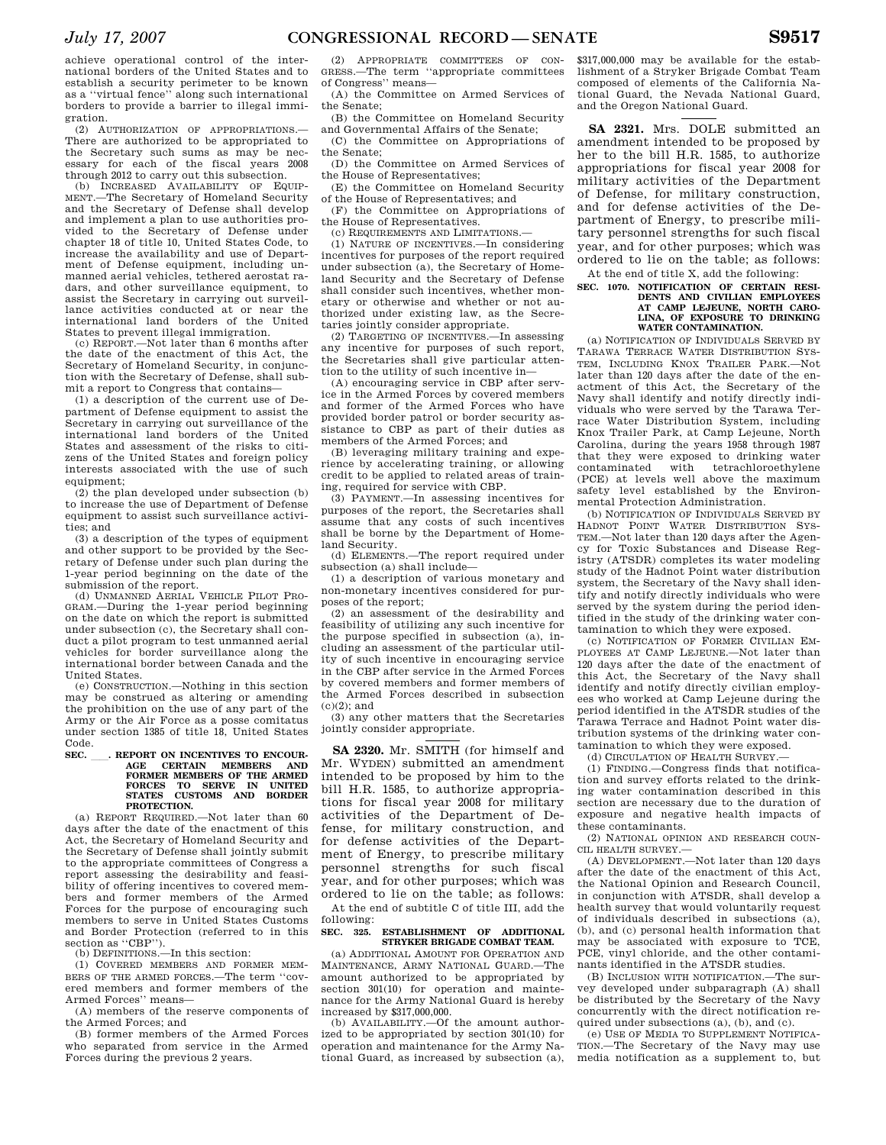achieve operational control of the international borders of the United States and to establish a security perimeter to be known as a ''virtual fence'' along such international borders to provide a barrier to illegal immigration.

(2) AUTHORIZATION OF APPROPRIATIONS.— There are authorized to be appropriated to the Secretary such sums as may be necessary for each of the fiscal years 2008 through 2012 to carry out this subsection.

(b) INCREASED AVAILABILITY OF EQUIP-MENT.—The Secretary of Homeland Security and the Secretary of Defense shall develop and implement a plan to use authorities provided to the Secretary of Defense under chapter 18 of title 10, United States Code, to increase the availability and use of Department of Defense equipment, including unmanned aerial vehicles, tethered aerostat radars, and other surveillance equipment, to assist the Secretary in carrying out surveillance activities conducted at or near the international land borders of the United States to prevent illegal immigration.

(c) REPORT.—Not later than 6 months after the date of the enactment of this Act, the Secretary of Homeland Security, in conjunction with the Secretary of Defense, shall submit a report to Congress that contains—

(1) a description of the current use of Department of Defense equipment to assist the Secretary in carrying out surveillance of the international land borders of the United States and assessment of the risks to citizens of the United States and foreign policy interests associated with the use of such equipment;

(2) the plan developed under subsection (b) to increase the use of Department of Defense equipment to assist such surveillance activities; and

(3) a description of the types of equipment and other support to be provided by the Secretary of Defense under such plan during the 1-year period beginning on the date of the submission of the report.

(d) UNMANNED AERIAL VEHICLE PILOT PRO-GRAM.—During the 1-year period beginning on the date on which the report is submitted under subsection (c), the Secretary shall conduct a pilot program to test unmanned aerial vehicles for border surveillance along the international border between Canada and the United States.

(e) CONSTRUCTION.—Nothing in this section may be construed as altering or amending the prohibition on the use of any part of the Army or the Air Force as a posse comitatus under section 1385 of title 18, United States Code.

# **SEC.** ......... REPORT ON INCENTIVES TO ENCOURAGE CERTAIN MEMBERS AND **AGE CERTAIN MEMBERS AND FORMER MEMBERS OF THE ARMED FORCES TO SERVE IN UNITED STATES CUSTOMS AND BORDER PROTECTION.**

(a) REPORT REQUIRED.—Not later than 60 days after the date of the enactment of this Act, the Secretary of Homeland Security and the Secretary of Defense shall jointly submit to the appropriate committees of Congress a report assessing the desirability and feasibility of offering incentives to covered members and former members of the Armed Forces for the purpose of encouraging such members to serve in United States Customs and Border Protection (referred to in this section as "CBP").

(b) DEFINITIONS.—In this section:

(1) COVERED MEMBERS AND FORMER MEM-BERS OF THE ARMED FORCES.—The term ''covered members and former members of the Armed Forces'' means—

(A) members of the reserve components of the Armed Forces; and

(B) former members of the Armed Forces who separated from service in the Armed Forces during the previous 2 years.

(2) APPROPRIATE COMMITTEES OF CON-GRESS.—The term ''appropriate committees of Congress'' means—

(A) the Committee on Armed Services of the Senate;

(B) the Committee on Homeland Security and Governmental Affairs of the Senate;

(C) the Committee on Appropriations of the Senate;

(D) the Committee on Armed Services of the House of Representatives;

(E) the Committee on Homeland Security of the House of Representatives; and

(F) the Committee on Appropriations of the House of Representatives.

(c) REQUIREMENTS AND LIMITATIONS.—

(1) NATURE OF INCENTIVES.—In considering incentives for purposes of the report required under subsection (a), the Secretary of Homeland Security and the Secretary of Defense shall consider such incentives, whether monetary or otherwise and whether or not authorized under existing law, as the Secretaries jointly consider appropriate.

(2) TARGETING OF INCENTIVES.—In assessing any incentive for purposes of such report, the Secretaries shall give particular attention to the utility of such incentive in—

(A) encouraging service in CBP after service in the Armed Forces by covered members and former of the Armed Forces who have provided border patrol or border security assistance to CBP as part of their duties as members of the Armed Forces; and

(B) leveraging military training and experience by accelerating training, or allowing credit to be applied to related areas of training, required for service with CBP.

(3) PAYMENT.—In assessing incentives for purposes of the report, the Secretaries shall assume that any costs of such incentives shall be borne by the Department of Homeland Security.

(d) ELEMENTS.—The report required under subsection (a) shall include—

(1) a description of various monetary and non-monetary incentives considered for purposes of the report;

(2) an assessment of the desirability and feasibility of utilizing any such incentive for the purpose specified in subsection (a), including an assessment of the particular utility of such incentive in encouraging service in the CBP after service in the Armed Forces by covered members and former members of the Armed Forces described in subsection  $(c)(2)$ ; and

(3) any other matters that the Secretaries jointly consider appropriate.

**SA 2320.** Mr. SMITH (for himself and Mr. WYDEN) submitted an amendment intended to be proposed by him to the bill H.R. 1585, to authorize appropriations for fiscal year 2008 for military activities of the Department of Defense, for military construction, and for defense activities of the Department of Energy, to prescribe military personnel strengths for such fiscal year, and for other purposes; which was ordered to lie on the table; as follows: At the end of subtitle C of title III, add the

following:

# **SEC. 325. ESTABLISHMENT OF ADDITIONAL STRYKER BRIGADE COMBAT TEAM.**

(a) ADDITIONAL AMOUNT FOR OPERATION AND MAINTENANCE, ARMY NATIONAL GUARD.—The amount authorized to be appropriated by section 301(10) for operation and maintenance for the Army National Guard is hereby increased by \$317,000,000.

(b) AVAILABILITY.—Of the amount authorized to be appropriated by section 301(10) for operation and maintenance for the Army National Guard, as increased by subsection (a),

\$317,000,000 may be available for the establishment of a Stryker Brigade Combat Team composed of elements of the California National Guard, the Nevada National Guard, and the Oregon National Guard.

**SA 2321.** Mrs. DOLE submitted an amendment intended to be proposed by her to the bill H.R. 1585, to authorize appropriations for fiscal year 2008 for military activities of the Department of Defense, for military construction, and for defense activities of the Department of Energy, to prescribe military personnel strengths for such fiscal year, and for other purposes; which was ordered to lie on the table; as follows:

At the end of title X, add the following:

# **SEC. 1070. NOTIFICATION OF CERTAIN RESI-DENTS AND CIVILIAN EMPLOYEES AT CAMP LEJEUNE, NORTH CARO-LINA, OF EXPOSURE TO DRINKING WATER CONTAMINATION.**

(a) NOTIFICATION OF INDIVIDUALS SERVED BY TARAWA TERRACE WATER DISTRIBUTION SYS-TEM, INCLUDING KNOX TRAILER PARK.—Not later than 120 days after the date of the enactment of this Act, the Secretary of the Navy shall identify and notify directly individuals who were served by the Tarawa Terrace Water Distribution System, including Knox Trailer Park, at Camp Lejeune, North Carolina, during the years 1958 through 1987 that they were exposed to drinking water contaminated with tetrachloroethylene (PCE) at levels well above the maximum safety level established by the Environmental Protection Administration.

(b) NOTIFICATION OF INDIVIDUALS SERVED BY HADNOT POINT WATER DISTRIBUTION SYS-TEM.—Not later than 120 days after the Agency for Toxic Substances and Disease Registry (ATSDR) completes its water modeling study of the Hadnot Point water distribution system, the Secretary of the Navy shall identify and notify directly individuals who were served by the system during the period identified in the study of the drinking water contamination to which they were exposed.

(c) NOTIFICATION OF FORMER CIVILIAN EM-PLOYEES AT CAMP LEJEUNE.—Not later than 120 days after the date of the enactment of this Act, the Secretary of the Navy shall identify and notify directly civilian employees who worked at Camp Lejeune during the period identified in the ATSDR studies of the Tarawa Terrace and Hadnot Point water distribution systems of the drinking water contamination to which they were exposed.

(d) CIRCULATION OF HEALTH SURVEY.—

(1) FINDING.—Congress finds that notification and survey efforts related to the drinking water contamination described in this section are necessary due to the duration of exposure and negative health impacts of these contaminants.

(2) NATIONAL OPINION AND RESEARCH COUN-CIL HEALTH SURVEY.—

(A) DEVELOPMENT.—Not later than 120 days after the date of the enactment of this Act, the National Opinion and Research Council, in conjunction with ATSDR, shall develop a health survey that would voluntarily request of individuals described in subsections (a), (b), and (c) personal health information that may be associated with exposure to TCE, PCE, vinyl chloride, and the other contaminants identified in the ATSDR studies.

(B) INCLUSION WITH NOTIFICATION.—The survey developed under subparagraph (A) shall be distributed by the Secretary of the Navy concurrently with the direct notification required under subsections (a), (b), and (c).

(e) USE OF MEDIA TO SUPPLEMENT NOTIFICA-TION.—The Secretary of the Navy may use media notification as a supplement to, but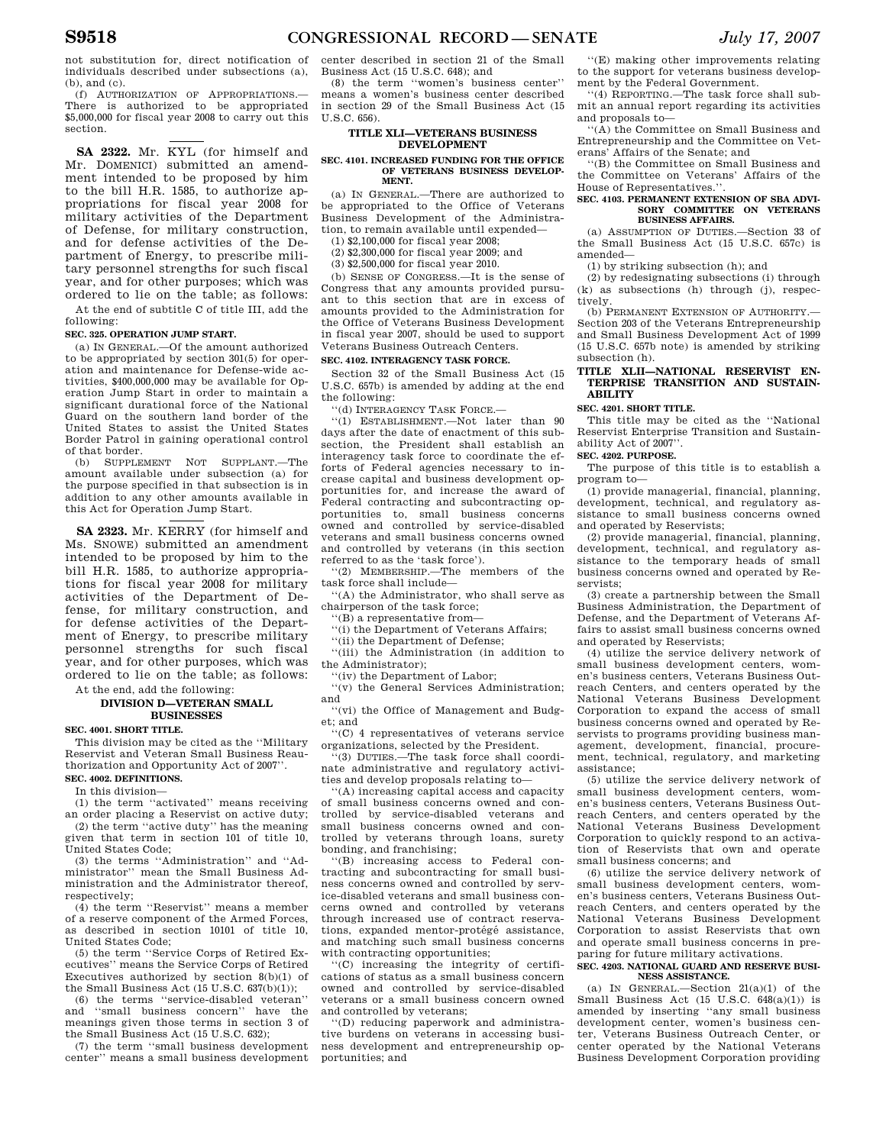not substitution for, direct notification of individuals described under subsections (a), (b), and (c).

(f) AUTHORIZATION OF APPROPRIATIONS.— There is authorized to be appropriated \$5,000,000 for fiscal year 2008 to carry out this section.

**SA 2322.** Mr. KYL (for himself and Mr. DOMENICI) submitted an amendment intended to be proposed by him to the bill H.R. 1585, to authorize appropriations for fiscal year 2008 for military activities of the Department of Defense, for military construction, and for defense activities of the Department of Energy, to prescribe military personnel strengths for such fiscal year, and for other purposes; which was ordered to lie on the table; as follows: At the end of subtitle C of title III, add the

#### following: **SEC. 325. OPERATION JUMP START.**

(a) IN GENERAL.—Of the amount authorized to be appropriated by section 301(5) for operation and maintenance for Defense-wide activities, \$400,000,000 may be available for Operation Jump Start in order to maintain a significant durational force of the National Guard on the southern land border of the United States to assist the United States Border Patrol in gaining operational control of that border.

(b) SUPPLEMENT NOT SUPPLANT.—The amount available under subsection (a) for the purpose specified in that subsection is in addition to any other amounts available in this Act for Operation Jump Start.

**SA 2323.** Mr. KERRY (for himself and Ms. SNOWE) submitted an amendment intended to be proposed by him to the bill H.R. 1585, to authorize appropriations for fiscal year 2008 for military activities of the Department of Defense, for military construction, and for defense activities of the Department of Energy, to prescribe military personnel strengths for such fiscal year, and for other purposes, which was ordered to lie on the table; as follows: At the end, add the following:

#### **DIVISION D—VETERAN SMALL BUSINESSES**

**SEC. 4001. SHORT TITLE.** 

This division may be cited as the ''Military Reservist and Veteran Small Business Reauthorization and Opportunity Act of 2007''. **SEC. 4002. DEFINITIONS.** 

In this division—

(1) the term ''activated'' means receiving

an order placing a Reservist on active duty; (2) the term ''active duty'' has the meaning given that term in section 101 of title 10,

United States Code; (3) the terms ''Administration'' and ''Ad-

ministrator'' mean the Small Business Administration and the Administrator thereof, respectively;

(4) the term ''Reservist'' means a member of a reserve component of the Armed Forces, as described in section 10101 of title 10, United States Code;

(5) the term ''Service Corps of Retired Executives'' means the Service Corps of Retired Executives authorized by section  $8(b)(1)$  of the Small Business Act (15 U.S.C.  $637(b)(1)$ );

(6) the terms ''service-disabled veteran'' and ''small business concern'' have the meanings given those terms in section 3 of the Small Business Act (15 U.S.C. 632);

(7) the term ''small business development center'' means a small business development

center described in section 21 of the Small Business Act (15 U.S.C. 648); and

(8) the term ''women's business center'' means a women's business center described in section 29 of the Small Business Act (15 U.S.C. 656).

#### **TITLE XLI—VETERANS BUSINESS DEVELOPMENT**

#### **SEC. 4101. INCREASED FUNDING FOR THE OFFICE OF VETERANS BUSINESS DEVELOP-MENT.**

(a) IN GENERAL.—There are authorized to be appropriated to the Office of Veterans Business Development of the Administration, to remain available until expended—

(1) \$2,100,000 for fiscal year 2008;

(2) \$2,300,000 for fiscal year 2009; and

(3) \$2,500,000 for fiscal year 2010.

(b) SENSE OF CONGRESS.—It is the sense of Congress that any amounts provided pursuant to this section that are in excess of amounts provided to the Administration for the Office of Veterans Business Development in fiscal year 2007, should be used to support Veterans Business Outreach Centers.

# **SEC. 4102. INTERAGENCY TASK FORCE.**

Section 32 of the Small Business Act (15 U.S.C. 657b) is amended by adding at the end the following:

''(d) INTERAGENCY TASK FORCE.—

''(1) ESTABLISHMENT.—Not later than 90 days after the date of enactment of this subsection, the President shall establish an interagency task force to coordinate the efforts of Federal agencies necessary to increase capital and business development opportunities for, and increase the award of Federal contracting and subcontracting opportunities to, small business concerns owned and controlled by service-disabled veterans and small business concerns owned and controlled by veterans (in this section referred to as the 'task force').

''(2) MEMBERSHIP.—The members of the task force shall include—

''(A) the Administrator, who shall serve as chairperson of the task force;

''(B) a representative from—

''(i) the Department of Veterans Affairs;

''(ii) the Department of Defense;

''(iii) the Administration (in addition to the Administrator);

''(iv) the Department of Labor;

''(v) the General Services Administration; and

''(vi) the Office of Management and Budget; and

''(C) 4 representatives of veterans service organizations, selected by the President.

'(3) DUTIES.—The task force shall coordinate administrative and regulatory activities and develop proposals relating to—

''(A) increasing capital access and capacity of small business concerns owned and controlled by service-disabled veterans and small business concerns owned and controlled by veterans through loans, surety bonding, and franchising;

''(B) increasing access to Federal contracting and subcontracting for small business concerns owned and controlled by service-disabled veterans and small business concerns owned and controlled by veterans through increased use of contract reservations, expanded mentor-protégé assistance, and matching such small business concerns with contracting opportunities;

''(C) increasing the integrity of certifications of status as a small business concern owned and controlled by service-disabled veterans or a small business concern owned and controlled by veterans;

''(D) reducing paperwork and administrative burdens on veterans in accessing business development and entrepreneurship opportunities; and

''(E) making other improvements relating to the support for veterans business development by the Federal Government.

''(4) REPORTING.—The task force shall submit an annual report regarding its activities and proposals to—

''(A) the Committee on Small Business and Entrepreneurship and the Committee on Veterans' Affairs of the Senate; and

''(B) the Committee on Small Business and the Committee on Veterans' Affairs of the House of Representatives.''.

#### **SEC. 4103. PERMANENT EXTENSION OF SBA ADVI-SORY COMMITTEE ON VETERANS BUSINESS AFFAIRS.**

(a) ASSUMPTION OF DUTIES.—Section 33 of the Small Business Act (15 U.S.C. 657c) is amended—

(1) by striking subsection (h); and

(2) by redesignating subsections (i) through (k) as subsections (h) through (j), respectively.

(b) PERMANENT EXTENSION OF AUTHORITY.— Section 203 of the Veterans Entrepreneurship and Small Business Development Act of 1999 (15 U.S.C. 657b note) is amended by striking subsection (h).

# **TITLE XLII—NATIONAL RESERVIST EN-TERPRISE TRANSITION AND SUSTAIN-ABILITY**

**SEC. 4201. SHORT TITLE.** 

This title may be cited as the ''National Reservist Enterprise Transition and Sustainability Act of 2007''.

#### **SEC. 4202. PURPOSE.**

The purpose of this title is to establish a program to—

(1) provide managerial, financial, planning, development, technical, and regulatory assistance to small business concerns owned and operated by Reservists;

(2) provide managerial, financial, planning, development, technical, and regulatory assistance to the temporary heads of small business concerns owned and operated by Reservists;

(3) create a partnership between the Small Business Administration, the Department of Defense, and the Department of Veterans Affairs to assist small business concerns owned and operated by Reservists;

(4) utilize the service delivery network of small business development centers, women's business centers, Veterans Business Outreach Centers, and centers operated by the National Veterans Business Development Corporation to expand the access of small business concerns owned and operated by Reservists to programs providing business management, development, financial, procurement, technical, regulatory, and marketing assistance;

(5) utilize the service delivery network of small business development centers, women's business centers, Veterans Business Outreach Centers, and centers operated by the National Veterans Business Development Corporation to quickly respond to an activation of Reservists that own and operate small business concerns; and

(6) utilize the service delivery network of small business development centers, women's business centers, Veterans Business Outreach Centers, and centers operated by the National Veterans Business Development Corporation to assist Reservists that own and operate small business concerns in preparing for future military activations.

#### **SEC. 4203. NATIONAL GUARD AND RESERVE BUSI-NESS ASSISTANCE.**

(a) IN GENERAL.—Section  $21(a)(1)$  of the Small Business Act (15 U.S.C.  $648(a)(1)$ ) is amended by inserting ''any small business development center, women's business center, Veterans Business Outreach Center, or center operated by the National Veterans Business Development Corporation providing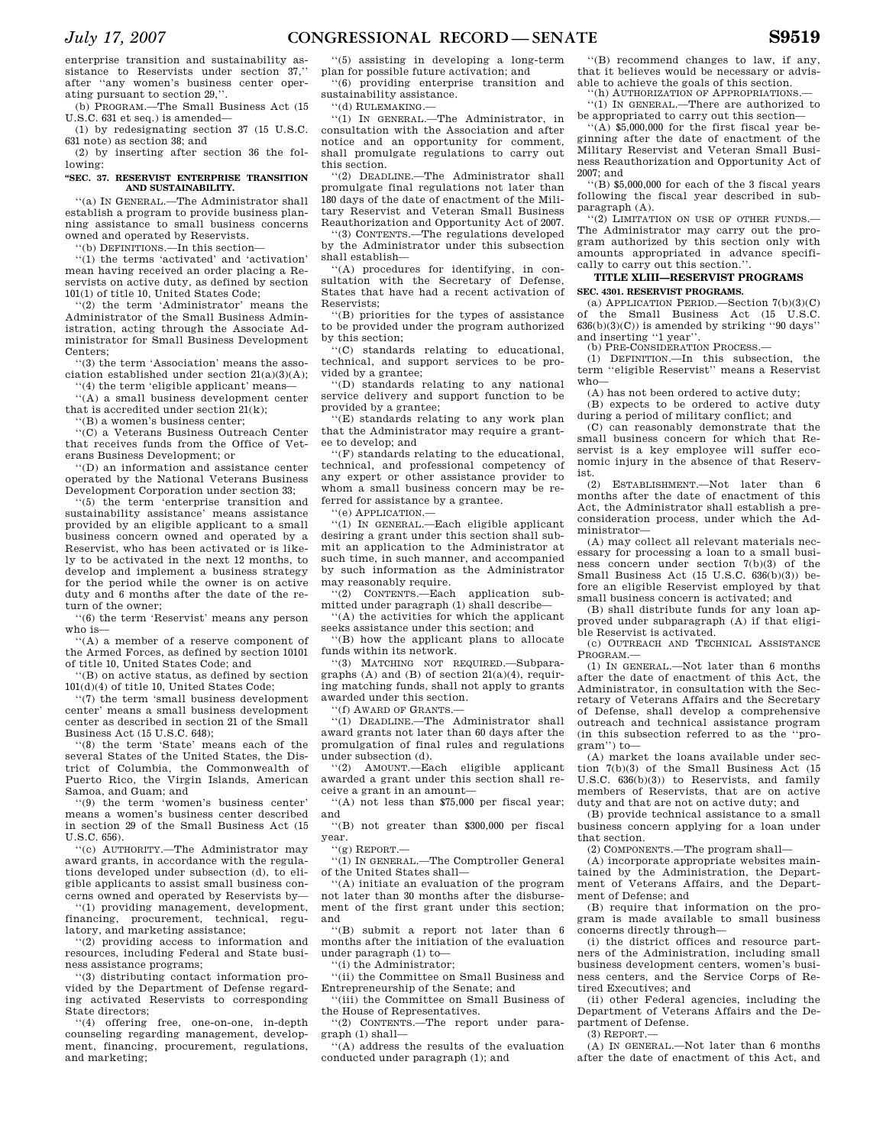enterprise transition and sustainability assistance to Reservists under section 37,'' after ''any women's business center operating pursuant to section 29,''.

(b) PROGRAM.—The Small Business Act (15 U.S.C. 631 et seq.) is amended—

(1) by redesignating section 37 (15 U.S.C. 631 note) as section 38; and

(2) by inserting after section 36 the following:

#### **''SEC. 37. RESERVIST ENTERPRISE TRANSITION AND SUSTAINABILITY.**

''(a) IN GENERAL.—The Administrator shall establish a program to provide business planning assistance to small business concerns owned and operated by Reservists.

''(b) DEFINITIONS.—In this section—

''(1) the terms 'activated' and 'activation' mean having received an order placing a Reservists on active duty, as defined by section 101(1) of title 10, United States Code;

''(2) the term 'Administrator' means the Administrator of the Small Business Administration, acting through the Associate Administrator for Small Business Development Centers;

''(3) the term 'Association' means the association established under section 21(a)(3)(A);

''(4) the term 'eligible applicant' means— ''(A) a small business development center that is accredited under section 21(k);

''(B) a women's business center;

''(C) a Veterans Business Outreach Center that receives funds from the Office of Veterans Business Development; or

''(D) an information and assistance center operated by the National Veterans Business Development Corporation under section 33;

''(5) the term 'enterprise transition and sustainability assistance' means assistance provided by an eligible applicant to a small business concern owned and operated by a Reservist, who has been activated or is likely to be activated in the next 12 months, to develop and implement a business strategy for the period while the owner is on active duty and 6 months after the date of the return of the owner;

''(6) the term 'Reservist' means any person who is—

''(A) a member of a reserve component of the Armed Forces, as defined by section 10101 of title 10, United States Code; and

''(B) on active status, as defined by section 101(d)(4) of title 10, United States Code;

''(7) the term 'small business development center' means a small business development center as described in section 21 of the Small Business Act (15 U.S.C. 648);

''(8) the term 'State' means each of the several States of the United States, the District of Columbia, the Commonwealth of Puerto Rico, the Virgin Islands, American Samoa, and Guam; and

''(9) the term 'women's business center' means a women's business center described in section 29 of the Small Business Act (15 U.S.C. 656).

''(c) AUTHORITY.—The Administrator may award grants, in accordance with the regulations developed under subsection (d), to eligible applicants to assist small business concerns owned and operated by Reservists by—

''(1) providing management, development, financing, procurement, technical, regulatory, and marketing assistance;

''(2) providing access to information and resources, including Federal and State business assistance programs;

''(3) distributing contact information provided by the Department of Defense regarding activated Reservists to corresponding State directors;

''(4) offering free, one-on-one, in-depth counseling regarding management, development, financing, procurement, regulations, and marketing;

''(5) assisting in developing a long-term plan for possible future activation; and

''(6) providing enterprise transition and sustainability assistance.

''(d) RULEMAKING.—

''(1) IN GENERAL.—The Administrator, in consultation with the Association and after notice and an opportunity for comment, shall promulgate regulations to carry out this section.

''(2) DEADLINE.—The Administrator shall promulgate final regulations not later than 180 days of the date of enactment of the Military Reservist and Veteran Small Business Reauthorization and Opportunity Act of 2007.

''(3) CONTENTS.—The regulations developed by the Administrator under this subsection shall establish—

''(A) procedures for identifying, in consultation with the Secretary of Defense, States that have had a recent activation of Reservists;

''(B) priorities for the types of assistance to be provided under the program authorized by this section;

''(C) standards relating to educational, technical, and support services to be provided by a grantee;

''(D) standards relating to any national service delivery and support function to be provided by a grantee;

''(E) standards relating to any work plan that the Administrator may require a grantee to develop; and

''(F) standards relating to the educational, technical, and professional competency of any expert or other assistance provider to whom a small business concern may be referred for assistance by a grantee.

'(e) APPLICATION.-

''(1) IN GENERAL.—Each eligible applicant desiring a grant under this section shall submit an application to the Administrator at such time, in such manner, and accompanied by such information as the Administrator may reasonably require.

''(2) CONTENTS.—Each application submitted under paragraph (1) shall describe—

''(A) the activities for which the applicant seeks assistance under this section; and

''(B) how the applicant plans to allocate funds within its network.

''(3) MATCHING NOT REQUIRED.—Subparagraphs  $(A)$  and  $(B)$  of section  $21(a)(4)$ , requiring matching funds, shall not apply to grants awarded under this section.

''(f) AWARD OF GRANTS.—

''(1) DEADLINE.—The Administrator shall award grants not later than 60 days after the promulgation of final rules and regulations under subsection (d).

''(2) AMOUNT.—Each eligible applicant awarded a grant under this section shall receive a grant in an amount—

''(A) not less than \$75,000 per fiscal year; and

''(B) not greater than \$300,000 per fiscal year.

''(g) REPORT.—

''(1) IN GENERAL.—The Comptroller General of the United States shall—

''(A) initiate an evaluation of the program not later than 30 months after the disbursement of the first grant under this section; and

''(B) submit a report not later than 6 months after the initiation of the evaluation under paragraph (1) to—

''(i) the Administrator;

''(ii) the Committee on Small Business and Entrepreneurship of the Senate; and

''(iii) the Committee on Small Business of the House of Representatives.

''(2) CONTENTS.—The report under paragraph (1) shall—

''(A) address the results of the evaluation conducted under paragraph (1); and

''(B) recommend changes to law, if any, that it believes would be necessary or advisable to achieve the goals of this section.

''(h) AUTHORIZATION OF APPROPRIATIONS.— ''(1) IN GENERAL.—There are authorized to be appropriated to carry out this section—

''(A) \$5,000,000 for the first fiscal year beginning after the date of enactment of the Military Reservist and Veteran Small Business Reauthorization and Opportunity Act of 2007; and

''(B) \$5,000,000 for each of the 3 fiscal years following the fiscal year described in subparagraph (A).

''(2) LIMITATION ON USE OF OTHER FUNDS.— The Administrator may carry out the program authorized by this section only with amounts appropriated in advance specifically to carry out this section.''.

#### **TITLE XLIII—RESERVIST PROGRAMS SEC. 4301. RESERVIST PROGRAMS.**

(a) APPLICATION PERIOD.—Section 7(b)(3)(C) of the Small Business Act (15 U.S.C.  $636(b)(3)(C)$  is amended by striking ''90 days' and inserting ''1 year''.

(b) PRE-CONSIDERATION PROCESS.—

(1) DEFINITION.—In this subsection, the term ''eligible Reservist'' means a Reservist who—

(A) has not been ordered to active duty;

(B) expects to be ordered to active duty during a period of military conflict; and

(C) can reasonably demonstrate that the small business concern for which that Reservist is a key employee will suffer economic injury in the absence of that Reservist.

(2) ESTABLISHMENT.—Not later than 6 months after the date of enactment of this Act, the Administrator shall establish a preconsideration process, under which the Administrator—

(A) may collect all relevant materials necessary for processing a loan to a small business concern under section 7(b)(3) of the Small Business Act (15 U.S.C. 636(b)(3)) before an eligible Reservist employed by that small business concern is activated; and

(B) shall distribute funds for any loan approved under subparagraph (A) if that eligible Reservist is activated.

(c) OUTREACH AND TECHNICAL ASSISTANCE PROGRAM.—

(1) IN GENERAL.—Not later than 6 months after the date of enactment of this Act, the Administrator, in consultation with the Secretary of Veterans Affairs and the Secretary of Defense, shall develop a comprehensive outreach and technical assistance program (in this subsection referred to as the ''program'') to—

(A) market the loans available under section 7(b)(3) of the Small Business Act (15 U.S.C. 636(b)(3)) to Reservists, and family members of Reservists, that are on active duty and that are not on active duty; and

(B) provide technical assistance to a small business concern applying for a loan under that section.

(2) COMPONENTS.—The program shall—

(A) incorporate appropriate websites maintained by the Administration, the Department of Veterans Affairs, and the Department of Defense; and

(B) require that information on the program is made available to small business concerns directly through—

(i) the district offices and resource partners of the Administration, including small business development centers, women's business centers, and the Service Corps of Retired Executives; and

(ii) other Federal agencies, including the Department of Veterans Affairs and the Department of Defense.

(3) REPORT.—

(A) IN GENERAL.—Not later than 6 months after the date of enactment of this Act, and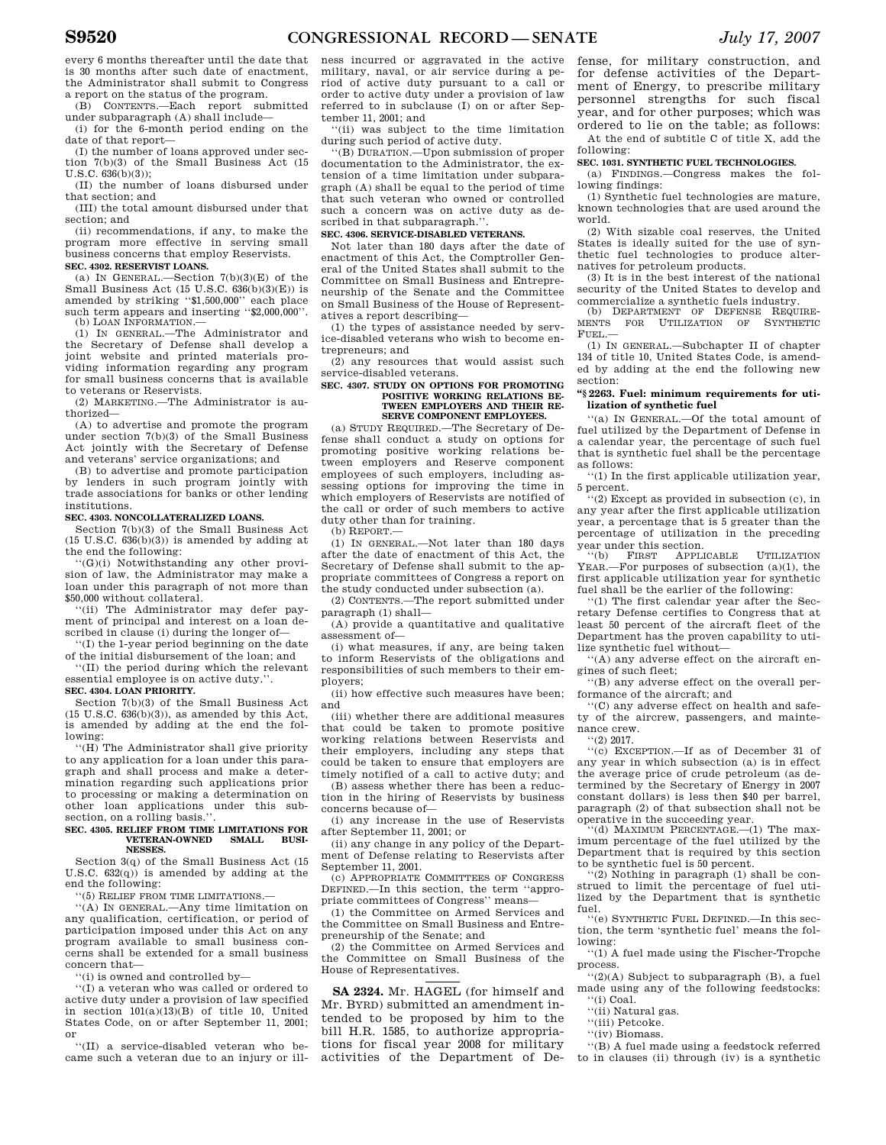every 6 months thereafter until the date that is 30 months after such date of enactment, the Administrator shall submit to Congress a report on the status of the program.

(B) CONTENTS.—Each report submitted under subparagraph (A) shall include—

(i) for the 6-month period ending on the date of that report—

(I) the number of loans approved under section 7(b)(3) of the Small Business Act (15 U.S.C. 636(b)(3));

(II) the number of loans disbursed under that section; and

(III) the total amount disbursed under that section; and

(ii) recommendations, if any, to make the program more effective in serving small business concerns that employ Reservists.

#### **SEC. 4302. RESERVIST LOANS.**

(a) IN GENERAL.—Section  $7(b)(3)(E)$  of the Small Business Act (15 U.S.C. 636(b)(3)(E)) is amended by striking ''\$1,500,000'' each place such term appears and inserting "\$2,000,000".<br>(b) LOAN INFORMATION.—

(1) IN GENERAL.—The Administrator and the Secretary of Defense shall develop a joint website and printed materials providing information regarding any program for small business concerns that is available to veterans or Reservists.

(2) MARKETING.—The Administrator is authorized—

(A) to advertise and promote the program under section 7(b)(3) of the Small Business Act jointly with the Secretary of Defense and veterans' service organizations; and

(B) to advertise and promote participation by lenders in such program jointly with trade associations for banks or other lending institutions.

#### **SEC. 4303. NONCOLLATERALIZED LOANS.**

Section 7(b)(3) of the Small Business Act  $(15 \text{ U.S.C. } 636(b)(3))$  is amended by adding at the end the following:

''(G)(i) Notwithstanding any other provision of law, the Administrator may make a loan under this paragraph of not more than \$50,000 without collateral.

''(ii) The Administrator may defer payment of principal and interest on a loan described in clause (i) during the longer of—

''(I) the 1-year period beginning on the date of the initial disbursement of the loan; and

''(II) the period during which the relevant essential employee is on active duty.''. **SEC. 4304. LOAN PRIORITY.** 

Section 7(b)(3) of the Small Business Act  $(15 \text{ U.S.C. } 636(b)(3))$ , as amended by this Act, is amended by adding at the end the following:

''(H) The Administrator shall give priority to any application for a loan under this paragraph and shall process and make a determination regarding such applications prior to processing or making a determination on other loan applications under this subsection, on a rolling basis.'

#### **SEC. 4305. RELIEF FROM TIME LIMITATIONS FOR VETERAN-OWNED NESSES.**

Section 3(q) of the Small Business Act (15 U.S.C.  $632(q)$  is amended by adding at the end the following:

''(5) RELIEF FROM TIME LIMITATIONS.—

''(A) IN GENERAL.—Any time limitation on any qualification, certification, or period of participation imposed under this Act on any program available to small business concerns shall be extended for a small business concern that—

''(i) is owned and controlled by—

''(I) a veteran who was called or ordered to active duty under a provision of law specified in section 101(a)(13)(B) of title 10, United States Code, on or after September 11, 2001; or

''(II) a service-disabled veteran who became such a veteran due to an injury or ill-

ness incurred or aggravated in the active military, naval, or air service during a period of active duty pursuant to a call or order to active duty under a provision of law referred to in subclause (I) on or after September 11, 2001; and

''(ii) was subject to the time limitation during such period of active duty.

''(B) DURATION.—Upon submission of proper documentation to the Administrator, the extension of a time limitation under subparagraph (A) shall be equal to the period of time that such veteran who owned or controlled such a concern was on active duty as described in that subparagraph."

#### **SEC. 4306. SERVICE-DISABLED VETERANS.**

Not later than 180 days after the date of enactment of this Act, the Comptroller General of the United States shall submit to the Committee on Small Business and Entrepreneurship of the Senate and the Committee on Small Business of the House of Representatives a report describing—

(1) the types of assistance needed by service-disabled veterans who wish to become entrepreneurs; and

(2) any resources that would assist such service-disabled veterans.

#### **SEC. 4307. STUDY ON OPTIONS FOR PROMOTING POSITIVE WORKING RELATIONS BE-TWEEN EMPLOYERS AND THEIR RE-SERVE COMPONENT EMPLOYEES.**

(a) STUDY REQUIRED.—The Secretary of Defense shall conduct a study on options for promoting positive working relations between employers and Reserve component employees of such employers, including assessing options for improving the time in which employers of Reservists are notified of the call or order of such members to active duty other than for training.

(b) REPORT.—

(1) IN GENERAL.—Not later than 180 days after the date of enactment of this Act, the Secretary of Defense shall submit to the appropriate committees of Congress a report on the study conducted under subsection (a).

(2) CONTENTS.—The report submitted under paragraph (1) shall—

(A) provide a quantitative and qualitative assessment of—

(i) what measures, if any, are being taken to inform Reservists of the obligations and responsibilities of such members to their employers;

(ii) how effective such measures have been; and

(iii) whether there are additional measures that could be taken to promote positive working relations between Reservists and their employers, including any steps that could be taken to ensure that employers are timely notified of a call to active duty; and

(B) assess whether there has been a reduction in the hiring of Reservists by business concerns because of—

(i) any increase in the use of Reservists after September 11, 2001; or

(ii) any change in any policy of the Department of Defense relating to Reservists after September 11, 2001.

(c) APPROPRIATE COMMITTEES OF CONGRESS DEFINED.—In this section, the term ''appropriate committees of Congress'' means—

(1) the Committee on Armed Services and the Committee on Small Business and Entrepreneurship of the Senate; and

(2) the Committee on Armed Services and the Committee on Small Business of the House of Representatives.

**SA 2324.** Mr. HAGEL (for himself and Mr. BYRD) submitted an amendment intended to be proposed by him to the bill H.R. 1585, to authorize appropriations for fiscal year 2008 for military activities of the Department of De-

fense, for military construction, and for defense activities of the Department of Energy, to prescribe military personnel strengths for such fiscal year, and for other purposes; which was ordered to lie on the table; as follows:

At the end of subtitle C of title X, add the following:

#### **SEC. 1031. SYNTHETIC FUEL TECHNOLOGIES.**

(a) FINDINGS.—Congress makes the following findings:

(1) Synthetic fuel technologies are mature, known technologies that are used around the world.

(2) With sizable coal reserves, the United States is ideally suited for the use of synthetic fuel technologies to produce alternatives for petroleum products.

(3) It is in the best interest of the national security of the United States to develop and commercialize a synthetic fuels industry.

(b) DEPARTMENT OF DEFENSE REQUIRE-MENTS FOR UTILIZATION OF SYNTHETIC FUEL.—

(1) IN GENERAL.—Subchapter II of chapter 134 of title 10, United States Code, is amended by adding at the end the following new section:

#### **''§ 2263. Fuel: minimum requirements for utilization of synthetic fuel**

''(a) IN GENERAL.—Of the total amount of fuel utilized by the Department of Defense in a calendar year, the percentage of such fuel that is synthetic fuel shall be the percentage as follows:

''(1) In the first applicable utilization year, 5 percent.

''(2) Except as provided in subsection (c), in any year after the first applicable utilization year, a percentage that is 5 greater than the percentage of utilization in the preceding year under this section.

''(b) FIRST APPLICABLE UTILIZATION YEAR.—For purposes of subsection (a)(1), the first applicable utilization year for synthetic fuel shall be the earlier of the following:

''(1) The first calendar year after the Secretary Defense certifies to Congress that at least 50 percent of the aircraft fleet of the Department has the proven capability to utilize synthetic fuel without—

''(A) any adverse effect on the aircraft engines of such fleet;

''(B) any adverse effect on the overall performance of the aircraft; and

''(C) any adverse effect on health and safety of the aircrew, passengers, and maintenance crew.

''(2) 2017.

''(c) EXCEPTION.—If as of December 31 of any year in which subsection (a) is in effect the average price of crude petroleum (as determined by the Secretary of Energy in 2007 constant dollars) is less then \$40 per barrel, paragraph (2) of that subsection shall not be operative in the succeeding year.

''(d) MAXIMUM PERCENTAGE.—(1) The maximum percentage of the fuel utilized by the Department that is required by this section to be synthetic fuel is 50 percent.

''(2) Nothing in paragraph (1) shall be construed to limit the percentage of fuel utilized by the Department that is synthetic fuel.

''(e) SYNTHETIC FUEL DEFINED.—In this section, the term 'synthetic fuel' means the following:

''(1) A fuel made using the Fischer-Tropche process.

''(2)(A) Subject to subparagraph (B), a fuel made using any of the following feedstocks: ''(i) Coal.

''(ii) Natural gas.

- ''(iii) Petcoke.
- ''(iv) Biomass.

''(B) A fuel made using a feedstock referred to in clauses (ii) through (iv) is a synthetic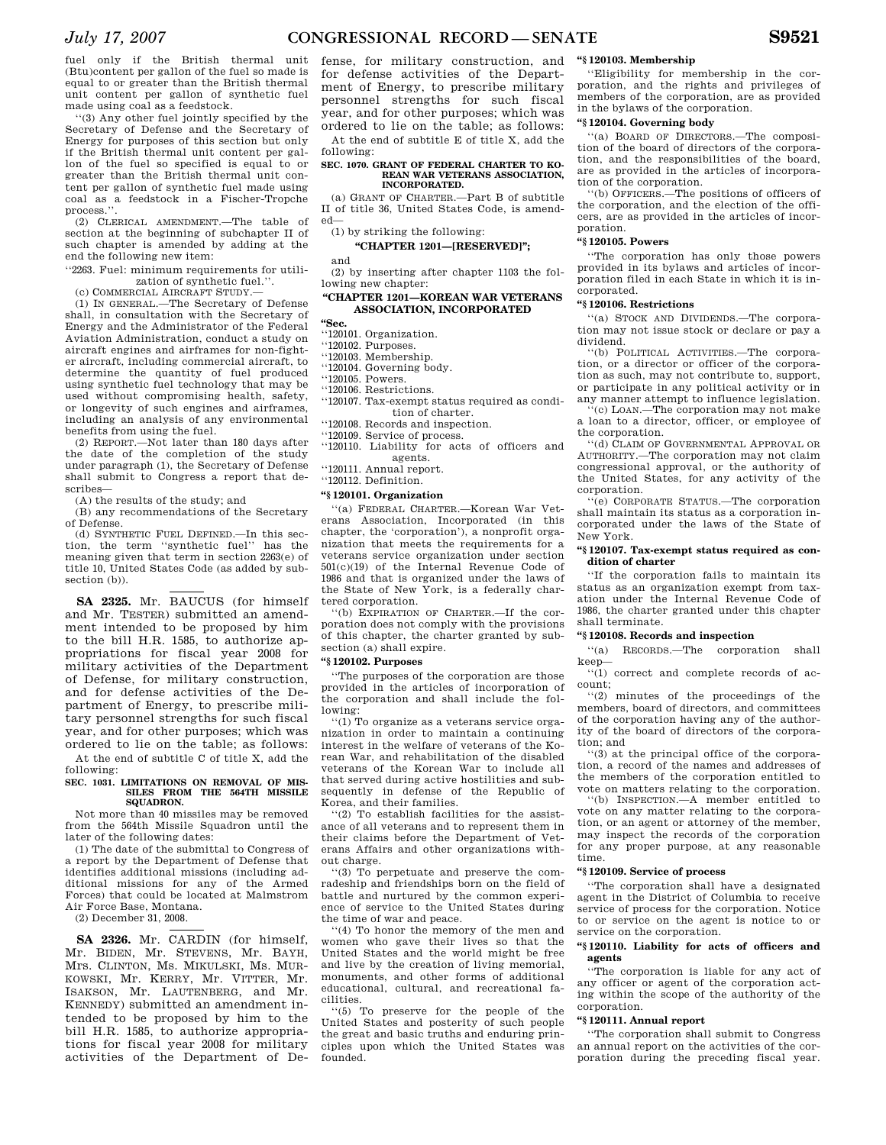fuel only if the British thermal unit (Btu)content per gallon of the fuel so made is equal to or greater than the British thermal unit content per gallon of synthetic fuel made using coal as a feedstock.

''(3) Any other fuel jointly specified by the Secretary of Defense and the Secretary of Energy for purposes of this section but only if the British thermal unit content per gallon of the fuel so specified is equal to or greater than the British thermal unit content per gallon of synthetic fuel made using coal as a feedstock in a Fischer-Tropche process.'

(2) CLERICAL AMENDMENT.—The table of section at the beginning of subchapter II of such chapter is amended by adding at the end the following new item:

''2263. Fuel: minimum requirements for utilization of synthetic fuel.''.

(c) COMMERCIAL AIRCRAFT STUDY.—

(1) IN GENERAL.—The Secretary of Defense shall, in consultation with the Secretary of Energy and the Administrator of the Federal Aviation Administration, conduct a study on aircraft engines and airframes for non-fighter aircraft, including commercial aircraft, to determine the quantity of fuel produced using synthetic fuel technology that may be used without compromising health, safety, or longevity of such engines and airframes, including an analysis of any environmental benefits from using the fuel.

(2) REPORT.—Not later than 180 days after the date of the completion of the study under paragraph (1), the Secretary of Defense shall submit to Congress a report that describes—

(A) the results of the study; and

(B) any recommendations of the Secretary of Defense.

(d) SYNTHETIC FUEL DEFINED.—In this section, the term ''synthetic fuel'' has the meaning given that term in section 2263(e) of title 10, United States Code (as added by subsection (b)).

**SA 2325.** Mr. BAUCUS (for himself and Mr. TESTER) submitted an amendment intended to be proposed by him to the bill H.R. 1585, to authorize appropriations for fiscal year 2008 for military activities of the Department of Defense, for military construction, and for defense activities of the Department of Energy, to prescribe military personnel strengths for such fiscal year, and for other purposes; which was ordered to lie on the table; as follows:

At the end of subtitle C of title X, add the following:

#### **SEC. 1031. LIMITATIONS ON REMOVAL OF MIS-SILES FROM THE 564TH MISSILE**  SQUADRON.

Not more than 40 missiles may be removed from the 564th Missile Squadron until the later of the following dates:

(1) The date of the submittal to Congress of a report by the Department of Defense that identifies additional missions (including additional missions for any of the Armed Forces) that could be located at Malmstrom Air Force Base, Montana.

(2) December 31, 2008.

**SA 2326.** Mr. CARDIN (for himself, Mr. BIDEN, Mr. STEVENS, Mr. BAYH, Mrs. CLINTON, Ms. MIKULSKI, Ms. MUR-KOWSKI, Mr. KERRY, Mr. VITTER, Mr. ISAKSON, Mr. LAUTENBERG, and Mr. KENNEDY) submitted an amendment intended to be proposed by him to the bill H.R. 1585, to authorize appropriations for fiscal year 2008 for military activities of the Department of De-

fense, for military construction, and for defense activities of the Department of Energy, to prescribe military personnel strengths for such fiscal year, and for other purposes; which was ordered to lie on the table; as follows:

At the end of subtitle E of title X, add the following:

#### **SEC. 1070. GRANT OF FEDERAL CHARTER TO KO-REAN WAR VETERANS ASSOCIATION, INCORPORATED.**

(a) GRANT OF CHARTER.—Part B of subtitle II of title 36, United States Code, is amended—

(1) by striking the following:

**''CHAPTER 1201—[RESERVED]'';** 

and

(2) by inserting after chapter 1103 the following new chapter:

### **''CHAPTER 1201—KOREAN WAR VETERANS ASSOCIATION, INCORPORATED**

**''Sec.** 

- ''120101. Organization.
- ''120102. Purposes.
- ''120103. Membership.
- ''120104. Governing body.

''120105. Powers.

''120106. Restrictions.

''120107. Tax-exempt status required as condition of charter.

''120108. Records and inspection.

''120109. Service of process.

''120110. Liability for acts of officers and agents.

''120111. Annual report.

# ''120112. Definition.

**''§ 120101. Organization** 

''(a) FEDERAL CHARTER.—Korean War Veterans Association, Incorporated (in this chapter, the 'corporation'), a nonprofit organization that meets the requirements for a veterans service organization under section 501(c)(19) of the Internal Revenue Code of 1986 and that is organized under the laws of the State of New York, is a federally chartered corporation.

''(b) EXPIRATION OF CHARTER.—If the corporation does not comply with the provisions of this chapter, the charter granted by subsection (a) shall expire.

# **''§ 120102. Purposes**

''The purposes of the corporation are those provided in the articles of incorporation of the corporation and shall include the following:

''(1) To organize as a veterans service organization in order to maintain a continuing interest in the welfare of veterans of the Korean War, and rehabilitation of the disabled veterans of the Korean War to include all that served during active hostilities and subsequently in defense of the Republic of Korea, and their families.

''(2) To establish facilities for the assistance of all veterans and to represent them in their claims before the Department of Veterans Affairs and other organizations without charge.

''(3) To perpetuate and preserve the comradeship and friendships born on the field of battle and nurtured by the common experience of service to the United States during the time of war and peace.

''(4) To honor the memory of the men and women who gave their lives so that the United States and the world might be free and live by the creation of living memorial, monuments, and other forms of additional educational, cultural, and recreational facilities.

''(5) To preserve for the people of the United States and posterity of such people the great and basic truths and enduring principles upon which the United States was founded.

#### **''§ 120103. Membership**

''Eligibility for membership in the corporation, and the rights and privileges of members of the corporation, are as provided in the bylaws of the corporation.

# **''§ 120104. Governing body**

''(a) BOARD OF DIRECTORS.—The composition of the board of directors of the corporation, and the responsibilities of the board, are as provided in the articles of incorporation of the corporation.

''(b) OFFICERS.—The positions of officers of the corporation, and the election of the officers, are as provided in the articles of incorporation.

#### **''§ 120105. Powers**

''The corporation has only those powers provided in its bylaws and articles of incorporation filed in each State in which it is incorporated.

#### **''§ 120106. Restrictions**

''(a) STOCK AND DIVIDENDS.—The corporation may not issue stock or declare or pay a dividend.

''(b) POLITICAL ACTIVITIES.—The corporation, or a director or officer of the corporation as such, may not contribute to, support, or participate in any political activity or in any manner attempt to influence legislation.

''(c) LOAN.—The corporation may not make a loan to a director, officer, or employee of the corporation.

''(d) CLAIM OF GOVERNMENTAL APPROVAL OR AUTHORITY.—The corporation may not claim congressional approval, or the authority of the United States, for any activity of the corporation.

''(e) CORPORATE STATUS.—The corporation shall maintain its status as a corporation incorporated under the laws of the State of New York.

# **''§ 120107. Tax-exempt status required as condition of charter**

''If the corporation fails to maintain its status as an organization exempt from taxation under the Internal Revenue Code of 1986, the charter granted under this chapter shall terminate.

#### **''§ 120108. Records and inspection**

''(a) RECORDS.—The corporation shall keep—

''(1) correct and complete records of account;

''(2) minutes of the proceedings of the members, board of directors, and committees of the corporation having any of the authority of the board of directors of the corporation; and

''(3) at the principal office of the corporation, a record of the names and addresses of the members of the corporation entitled to vote on matters relating to the corporation.

''(b) INSPECTION.—A member entitled to vote on any matter relating to the corporation, or an agent or attorney of the member, may inspect the records of the corporation for any proper purpose, at any reasonable time.

# **''§ 120109. Service of process**

''The corporation shall have a designated agent in the District of Columbia to receive service of process for the corporation. Notice to or service on the agent is notice to or service on the corporation.

# **''§ 120110. Liability for acts of officers and agents**

''The corporation is liable for any act of any officer or agent of the corporation acting within the scope of the authority of the corporation.

# **''§ 120111. Annual report**

''The corporation shall submit to Congress an annual report on the activities of the corporation during the preceding fiscal year.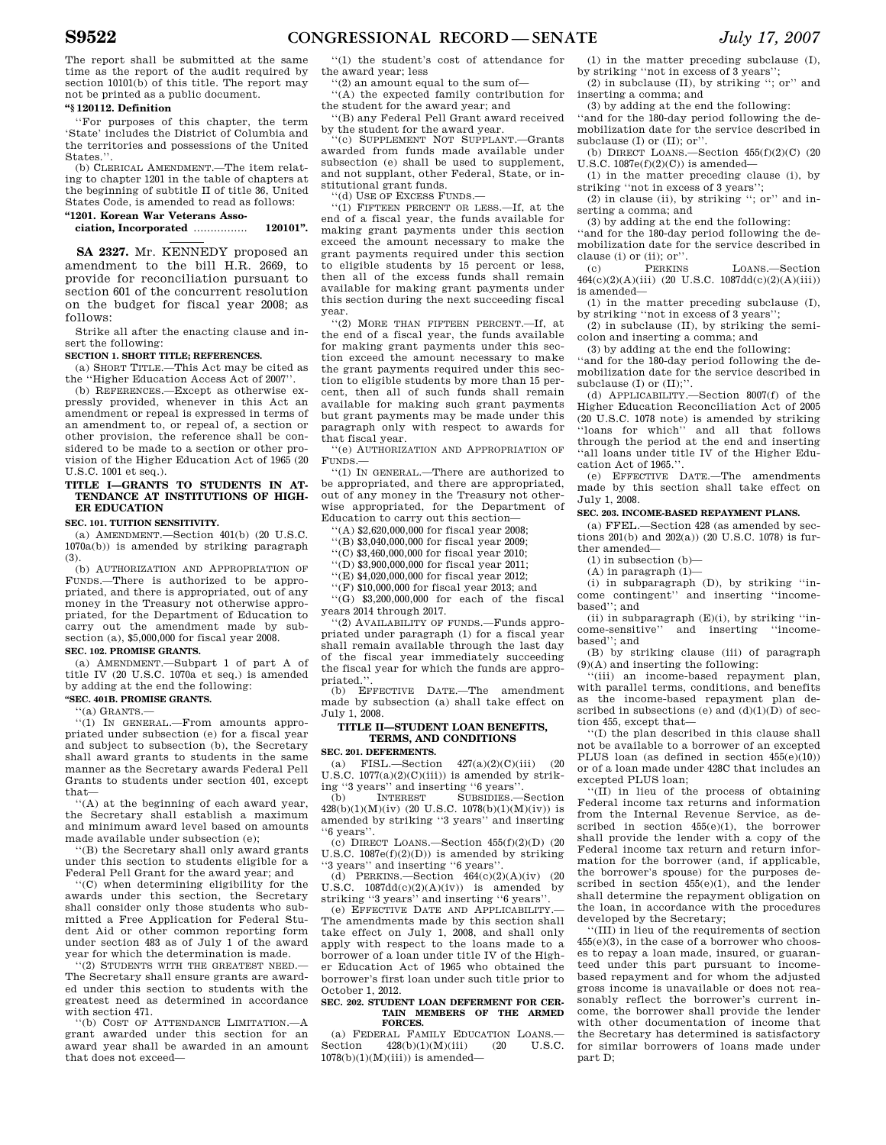The report shall be submitted at the same time as the report of the audit required by section 10101(b) of this title. The report may not be printed as a public document.

# **''§ 120112. Definition**

''For purposes of this chapter, the term 'State' includes the District of Columbia and the territories and possessions of the United States."

(b) CLERICAL AMENDMENT.—The item relating to chapter 1201 in the table of chapters at the beginning of subtitle II of title 36, United States Code, is amended to read as follows:

**''1201. Korean War Veterans Association, Incorporated** ................ **120101''.** 

**SA 2327.** Mr. KENNEDY proposed an amendment to the bill H.R. 2669, to provide for reconciliation pursuant to section 601 of the concurrent resolution on the budget for fiscal year 2008; as follows:

Strike all after the enacting clause and insert the following:

### **SECTION 1. SHORT TITLE; REFERENCES.**

(a) SHORT TITLE.—This Act may be cited as the ''Higher Education Access Act of 2007''.

(b) REFERENCES.—Except as otherwise expressly provided, whenever in this Act an amendment or repeal is expressed in terms of an amendment to, or repeal of, a section or other provision, the reference shall be considered to be made to a section or other provision of the Higher Education Act of 1965 (20 U.S.C. 1001 et seq.).

### **TITLE I—GRANTS TO STUDENTS IN AT-TENDANCE AT INSTITUTIONS OF HIGH-ER EDUCATION**

# **SEC. 101. TUITION SENSITIVITY.**

(a) AMENDMENT.—Section 401(b) (20 U.S.C. 1070a(b)) is amended by striking paragraph (3).

(b) AUTHORIZATION AND APPROPRIATION OF FUNDS.—There is authorized to be appropriated, and there is appropriated, out of any money in the Treasury not otherwise appropriated, for the Department of Education to carry out the amendment made by subsection (a), \$5,000,000 for fiscal year 2008. **SEC. 102. PROMISE GRANTS.** 

(a) AMENDMENT.—Subpart 1 of part A of title IV (20 U.S.C. 1070a et seq.) is amended by adding at the end the following:

# **''SEC. 401B. PROMISE GRANTS.**

''(a) GRANTS.—

''(1) IN GENERAL.—From amounts appropriated under subsection (e) for a fiscal year and subject to subsection (b), the Secretary shall award grants to students in the same manner as the Secretary awards Federal Pell Grants to students under section 401, except that—

''(A) at the beginning of each award year, the Secretary shall establish a maximum and minimum award level based on amounts made available under subsection (e);

''(B) the Secretary shall only award grants under this section to students eligible for a Federal Pell Grant for the award year; and

''(C) when determining eligibility for the awards under this section, the Secretary shall consider only those students who submitted a Free Application for Federal Student Aid or other common reporting form under section 483 as of July 1 of the award year for which the determination is made.

''(2) STUDENTS WITH THE GREATEST NEED.— The Secretary shall ensure grants are awarded under this section to students with the greatest need as determined in accordance with section 471.

''(b) COST OF ATTENDANCE LIMITATION.—A grant awarded under this section for an award year shall be awarded in an amount that does not exceed—

''(1) the student's cost of attendance for the award year; less

''(2) an amount equal to the sum of—

''(A) the expected family contribution for the student for the award year; and

''(B) any Federal Pell Grant award received by the student for the award year.

''(c) SUPPLEMENT NOT SUPPLANT.—Grants awarded from funds made available under subsection (e) shall be used to supplement, and not supplant, other Federal, State, or institutional grant funds.

''(d) USE OF EXCESS FUNDS.—

''(1) FIFTEEN PERCENT OR LESS.—If, at the end of a fiscal year, the funds available for making grant payments under this section exceed the amount necessary to make the grant payments required under this section to eligible students by 15 percent or less, then all of the excess funds shall remain available for making grant payments under this section during the next succeeding fiscal year.

 $''(2)$  MORE THAN FIFTEEN PERCENT  $\Box$  If at the end of a fiscal year, the funds available for making grant payments under this section exceed the amount necessary to make the grant payments required under this section to eligible students by more than 15 percent, then all of such funds shall remain available for making such grant payments but grant payments may be made under this paragraph only with respect to awards for that fiscal year.

''(e) AUTHORIZATION AND APPROPRIATION OF FUNDS.—

''(1) IN GENERAL.—There are authorized to be appropriated, and there are appropriated, out of any money in the Treasury not otherwise appropriated, for the Department of Education to carry out this section—

''(A) \$2,620,000,000 for fiscal year 2008;

''(B) \$3,040,000,000 for fiscal year 2009;

''(C) \$3,460,000,000 for fiscal year 2010;

''(D) \$3,900,000,000 for fiscal year 2011;

''(E) \$4,020,000,000 for fiscal year 2012;

''(F) \$10,000,000 for fiscal year 2013; and

''(G) \$3,200,000,000 for each of the fiscal years 2014 through 2017.

''(2) AVAILABILITY OF FUNDS.—Funds appropriated under paragraph (1) for a fiscal year shall remain available through the last day of the fiscal year immediately succeeding the fiscal year for which the funds are appropriated.

(b) EFFECTIVE DATE.—The amendment made by subsection (a) shall take effect on July 1, 2008.

# **TITLE II—STUDENT LOAN BENEFITS, TERMS, AND CONDITIONS**

**SEC. 201. DEFERMENTS.** 

(a) FISL.—Section 427(a)(2)(C)(iii) (20 U.S.C.  $1077(a)(2)(C)(iii)$  is amended by strik-

ing ''3 years'' and inserting ''6 years''<br>(b) INTEREST SUBSIDIES. SUBSIDIES.-Section  $428(b)(1)(M)(iv)$  (20 U.S.C. 1078(b)(1)(M)(iv)) is amended by striking ''3 years'' and inserting ''6 years''.

 $(c)$  DIRECT LOANS.—Section  $455(f)(2)(D)$   $(20)$ U.S.C.  $1087e(f)(2)(D)$  is amended by striking

"3 years" and inserting "6 years".<br>
(d) PERKINS.—Section  $464(c)(2)(A)(iv)$  (20 U.S.C.  $1087d(d(c)(2)(A)(iv))$  is amended by

striking ''3 years'' and inserting ''6 years''. (e) EFFECTIVE DATE AND APPLICABILITY.— The amendments made by this section shall take effect on July 1, 2008, and shall only apply with respect to the loans made to a borrower of a loan under title IV of the Higher Education Act of 1965 who obtained the borrower's first loan under such title prior to October 1, 2012.

#### **SEC. 202. STUDENT LOAN DEFERMENT FOR CER-TAIN MEMBERS OF THE ARMED FORCES.**

(a) FEDERAL FAMILY EDUCATION LOANS.— Section  $428(b)(1)(M)(iii)$  (20 U.S.C.  $1078(b)(1)(M)(iii)$ ) is amended-

(1) in the matter preceding subclause (I), by striking ''not in excess of 3 years'';

(2) in subclause (II), by striking ''; or'' and inserting a comma; and

(3) by adding at the end the following:

''and for the 180-day period following the demobilization date for the service described in subclause (I) or (II); or''.

(b) DIRECT LOANS.—Section  $455(f)(2)(C)$  (20 U.S.C.  $1087e(f)(2)(C)$ ) is amended-

(1) in the matter preceding clause (i), by striking ''not in excess of 3 years'';

(2) in clause (ii), by striking ''; or'' and inserting a comma; and

(3) by adding at the end the following:

''and for the 180-day period following the demobilization date for the service described in clause (i) or (ii); or".<br>(c) PERKINS

(c) PERKINS LOANS.—Section  $464(c)(2)(A)(iii)$  (20 U.S.C. 1087dd(c)(2)(A)(iii)) is amended—

(1) in the matter preceding subclause (I), by striking ''not in excess of 3 years'';

(2) in subclause (II), by striking the semicolon and inserting a comma; and

(3) by adding at the end the following:

''and for the 180-day period following the demobilization date for the service described in subclause (I) or  $(II)$ ;".

(d) APPLICABILITY.—Section 8007(f) of the Higher Education Reconciliation Act of 2005 (20 U.S.C. 1078 note) is amended by striking ''loans for which'' and all that follows through the period at the end and inserting ''all loans under title IV of the Higher Education Act of 1965."

(e) EFFECTIVE DATE.—The amendments made by this section shall take effect on July 1, 2008.

# **SEC. 203. INCOME-BASED REPAYMENT PLANS.**

(a) FFEL.—Section 428 (as amended by sections 201(b) and 202(a)) (20 U.S.C. 1078) is further amended—

 $(1)$  in subsection  $(b)$ -

(A) in paragraph (1)—

(i) in subparagraph (D), by striking ''income contingent'' and inserting ''incomebased''; and

(ii) in subparagraph  $(E)(i)$ , by striking "income-sensitive'' and inserting ''incomebased''; and

(B) by striking clause (iii) of paragraph (9)(A) and inserting the following:

''(iii) an income-based repayment plan, with parallel terms, conditions, and benefits as the income-based repayment plan described in subsections (e) and  $(d)(1)(D)$  of section 455, except that—

''(I) the plan described in this clause shall not be available to a borrower of an excepted PLUS loan (as defined in section  $455(e)(10)$ ) or of a loan made under 428C that includes an excepted PLUS loan;

''(II) in lieu of the process of obtaining Federal income tax returns and information from the Internal Revenue Service, as described in section  $455(e)(1)$ , the borrower shall provide the lender with a copy of the Federal income tax return and return information for the borrower (and, if applicable, the borrower's spouse) for the purposes described in section 455(e)(1), and the lender shall determine the repayment obligation on the loan, in accordance with the procedures developed by the Secretary;

''(III) in lieu of the requirements of section 455(e)(3), in the case of a borrower who chooses to repay a loan made, insured, or guaranteed under this part pursuant to incomebased repayment and for whom the adjusted gross income is unavailable or does not reasonably reflect the borrower's current income, the borrower shall provide the lender with other documentation of income that the Secretary has determined is satisfactory for similar borrowers of loans made under part D;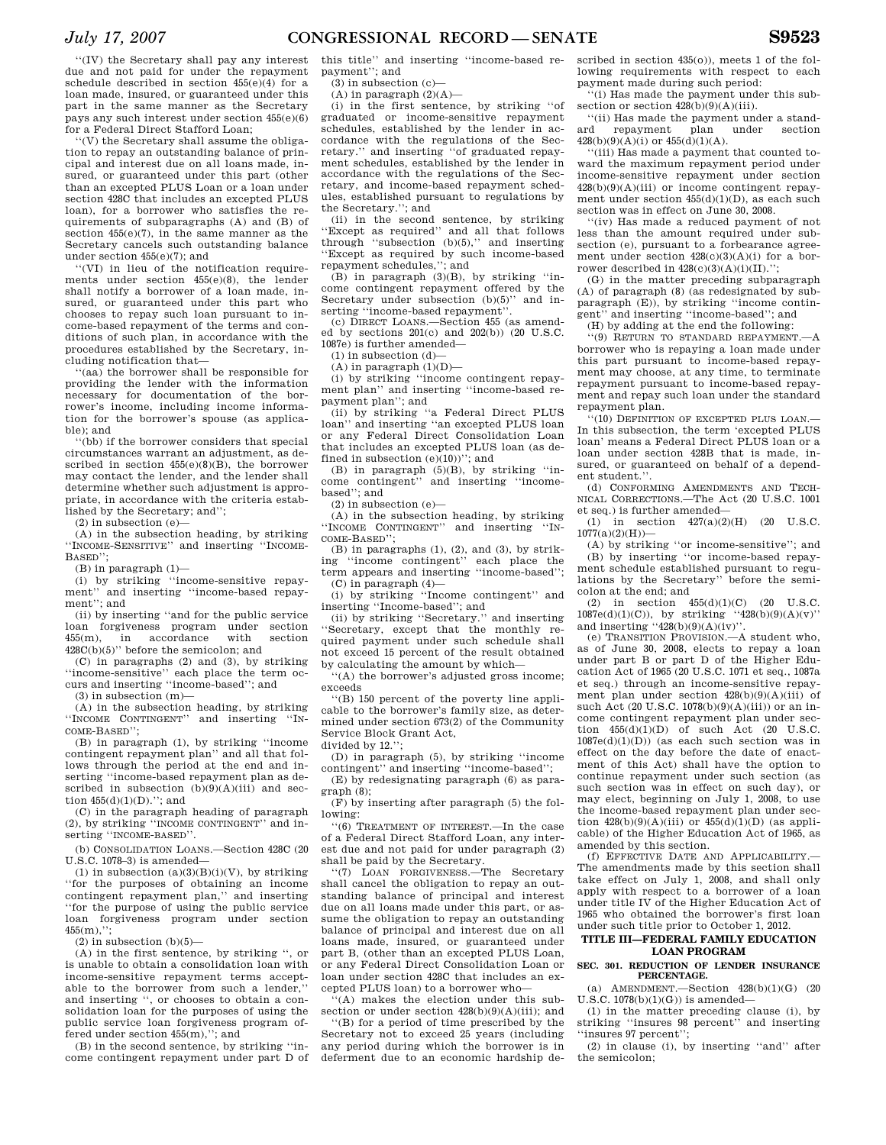''(IV) the Secretary shall pay any interest due and not paid for under the repayment schedule described in section 455(e)(4) for a loan made, insured, or guaranteed under this part in the same manner as the Secretary pays any such interest under section 455(e)(6) for a Federal Direct Stafford Loan;

''(V) the Secretary shall assume the obligation to repay an outstanding balance of principal and interest due on all loans made, insured, or guaranteed under this part (other than an excepted PLUS Loan or a loan under section 428C that includes an excepted PLUS loan), for a borrower who satisfies the requirements of subparagraphs (A) and (B) of section 455(e)(7), in the same manner as the Secretary cancels such outstanding balance under section 455(e)(7); and

''(VI) in lieu of the notification requirements under section  $455(e)(8)$ , the lender shall notify a borrower of a loan made, insured, or guaranteed under this part who chooses to repay such loan pursuant to income-based repayment of the terms and conditions of such plan, in accordance with the procedures established by the Secretary, including notification that—

''(aa) the borrower shall be responsible for providing the lender with the information necessary for documentation of the borrower's income, including income information for the borrower's spouse (as applicable); and

''(bb) if the borrower considers that special circumstances warrant an adjustment, as described in section  $455(e)(8)(B)$ , the borrower may contact the lender, and the lender shall determine whether such adjustment is appropriate, in accordance with the criteria established by the Secretary; and'';

 $(2)$  in subsection  $(e)$ 

(A) in the subsection heading, by striking ''INCOME-SENSITIVE'' and inserting ''INCOME-BASED'';

(B) in paragraph (1)—

(i) by striking "income-sensitive repay-<br>ment" and inserting "income-based repayand inserting "income-based repayment''; and

(ii) by inserting ''and for the public service loan forgiveness program under section 455(m), in accordance with section  $428C(b)(5)$ " before the semicolon; and

(C) in paragraphs (2) and (3), by striking ''income-sensitive'' each place the term occurs and inserting ''income-based''; and

 $(3)$  in subsection  $(m)$ -

(A) in the subsection heading, by striking ''INCOME CONTINGENT'' and inserting ''IN-COME-BASED'';

(B) in paragraph (1), by striking ''income contingent repayment plan'' and all that follows through the period at the end and inserting ''income-based repayment plan as described in subsection  $(b)(9)(A)(iii)$  and section  $455(d)(1)(D)$ .": and

(C) in the paragraph heading of paragraph (2), by striking ''INCOME CONTINGENT'' and inserting ''INCOME-BASED''.

(b) CONSOLIDATION LOANS.—Section 428C (20  $U.S.C. 1078-3)$  is amended-

(1) in subsection  $(a)(3)(B)(i)(V)$ , by striking ''for the purposes of obtaining an income contingent repayment plan,'' and inserting ''for the purpose of using the public service loan forgiveness program under section  $455(m)$ ,";

 $(2)$  in subsection  $(b)(5)$ —

(A) in the first sentence, by striking '', or is unable to obtain a consolidation loan with income-sensitive repayment terms acceptable to the borrower from such a lender,'' and inserting '', or chooses to obtain a consolidation loan for the purposes of using the public service loan forgiveness program offered under section 455(m),''; and

(B) in the second sentence, by striking ''income contingent repayment under part D of

this title'' and inserting ''income-based repayment''; and

 $(3)$  in subsection  $(c)$ -

 $(A)$  in paragraph  $(2)(A)$ —

(i) in the first sentence, by striking ''of graduated or income-sensitive repayment schedules, established by the lender in accordance with the regulations of the Secretary.'' and inserting ''of graduated repayment schedules, established by the lender in accordance with the regulations of the Secretary, and income-based repayment schedules, established pursuant to regulations by the Secretary.''; and

(ii) in the second sentence, by striking ''Except as required'' and all that follows through ''subsection (b)(5),'' and inserting ''Except as required by such income-based repayment schedules,''; and

 $(B)$  in paragraph  $(3)(B)$ , by striking "income contingent repayment offered by the Secretary under subsection (b)(5)" and inserting "income-based repayment"

(c) DIRECT LOANS.—Section 455 (as amended by sections  $201(c)$  and  $202(b)$ ) (20 U.S.C. 1087e) is further amended—

 $(1)$  in subsection  $(d)$ —

 $(A)$  in paragraph  $(1)(D)$ —

(i) by striking ''income contingent repayment plan'' and inserting ''income-based repayment plan''; and

(ii) by striking ''a Federal Direct PLUS loan'' and inserting ''an excepted PLUS loan or any Federal Direct Consolidation Loan that includes an excepted PLUS loan (as defined in subsection  $(e)(10)$ )''; and

(B) in paragraph (5)(B), by striking ''income contingent'' and inserting ''incomebased''; and

(2) in subsection (e)—

 $(A)$  in the subsection heading, by striking<br>INCOME CONTINGENT" and inserting "IN-''INCOME CONTINGENT'' COME-BASED'';

 $(B)$  in paragraphs  $(1)$ ,  $(2)$ , and  $(3)$ , by striking ''income contingent'' each place the term appears and inserting ''income-based''; (C) in paragraph (4)—

(i) by striking ''Income contingent'' and inserting ''Income-based''; and

(ii) by striking ''Secretary.'' and inserting ''Secretary, except that the monthly required payment under such schedule shall not exceed 15 percent of the result obtained by calculating the amount by which—

''(A) the borrower's adjusted gross income; exceeds

''(B) 150 percent of the poverty line applicable to the borrower's family size, as determined under section 673(2) of the Community Service Block Grant Act,

divided by 12.'';

(D) in paragraph (5), by striking ''income contingent'' and inserting ''income-based'';

(E) by redesignating paragraph (6) as paragraph (8);

(F) by inserting after paragraph (5) the following:

''(6) TREATMENT OF INTEREST.—In the case of a Federal Direct Stafford Loan, any interest due and not paid for under paragraph (2) shall be paid by the Secretary.

''(7) LOAN FORGIVENESS.—The Secretary shall cancel the obligation to repay an outstanding balance of principal and interest due on all loans made under this part, or assume the obligation to repay an outstanding balance of principal and interest due on all loans made, insured, or guaranteed under part B, (other than an excepted PLUS Loan, or any Federal Direct Consolidation Loan or loan under section 428C that includes an excepted PLUS loan) to a borrower who—

 $h(A)$  makes the election under this subsection or under section  $428(b)(9)(A)(iii)$ ; and

''(B) for a period of time prescribed by the Secretary not to exceed 25 years (including any period during which the borrower is in deferment due to an economic hardship de-

scribed in section 435(o)), meets 1 of the following requirements with respect to each payment made during such period:

''(i) Has made the payment under this subsection or section  $428(b)(9)(A)(iii)$ .

''(ii) Has made the payment under a standard repayment plan under section  $428(b)(9)(A)(i)$  or  $455(d)(1)(A)$ .

''(iii) Has made a payment that counted toward the maximum repayment period under income-sensitive repayment under section  $428(b)(9)(A)(iii)$  or income contingent repayment under section 455(d)(1)(D), as each such section was in effect on June 30, 2008.

''(iv) Has made a reduced payment of not less than the amount required under subsection (e), pursuant to a forbearance agreement under section  $428(c)(3)(A)(i)$  for a borrower described in  $428(c)(3)(A)(i)(II)$ .'';

(G) in the matter preceding subparagraph (A) of paragraph (8) (as redesignated by subparagraph (E)), by striking "income contingent'' and inserting ''income-based''; and

(H) by adding at the end the following:

''(9) RETURN TO STANDARD REPAYMENT.—A borrower who is repaying a loan made under this part pursuant to income-based repayment may choose, at any time, to terminate repayment pursuant to income-based repayment and repay such loan under the standard repayment plan.

''(10) DEFINITION OF EXCEPTED PLUS LOAN.— In this subsection, the term 'excepted PLUS loan' means a Federal Direct PLUS loan or a loan under section 428B that is made, insured, or guaranteed on behalf of a dependent student.''.

(d) CONFORMING AMENDMENTS AND TECH-NICAL CORRECTIONS.—The Act (20 U.S.C. 1001 et seq.) is further amended—

(1) in section  $427(a)(2)(H)$  (20 U.S.C.  $1077(a)(2)(H)$ 

(A) by striking ''or income-sensitive''; and (B) by inserting ''or income-based repayment schedule established pursuant to regulations by the Secretary'' before the semicolon at the end; and

(2) in section  $455(d)(1)(C)$  (20 U.S.C.  $1087e(d)(1)(C)$ , by striking ''428(b)(9)(A)(v)'' and inserting " $428(b)(9)(A)(iv)$ ".

(e) TRANSITION PROVISION.—A student who, as of June 30, 2008, elects to repay a loan under part B or part D of the Higher Education Act of 1965 (20 U.S.C. 1071 et seq., 1087a et seq.) through an income-sensitive repayment plan under section  $428(b)(9)(A)(iii)$  of such Act (20 U.S.C.  $1078(b)(9)(A)(iii)$ ) or an income contingent repayment plan under section  $455(d)(1)(D)$  of such Act (20 U.S.C.  $1087e(d)(1)(D)$  (as each such section was in effect on the day before the date of enactment of this Act) shall have the option to continue repayment under such section (as such section was in effect on such day), or may elect, beginning on July 1, 2008, to use the income-based repayment plan under section  $428(b)(9)(A)(iii)$  or  $455(d)(1)(D)$  (as applicable) of the Higher Education Act of 1965, as amended by this section.

(f) EFFECTIVE DATE AND APPLICABILITY.— The amendments made by this section shall take effect on July 1, 2008, and shall only apply with respect to a borrower of a loan under title IV of the Higher Education Act of 1965 who obtained the borrower's first loan under such title prior to October 1, 2012.

### **TITLE III—FEDERAL FAMILY EDUCATION LOAN PROGRAM**

#### **SEC. 301. REDUCTION OF LENDER INSURANCE PERCENTAGE.**

 $AMENDMENT. -Section 428(b)(1)(G)$  (20 U.S.C.  $1078(b)(1)(G)$  is amended-

(1) in the matter preceding clause (i), by striking ''insures 98 percent'' and inserting ''insures 97 percent'';

(2) in clause (i), by inserting ''and'' after the semicolon;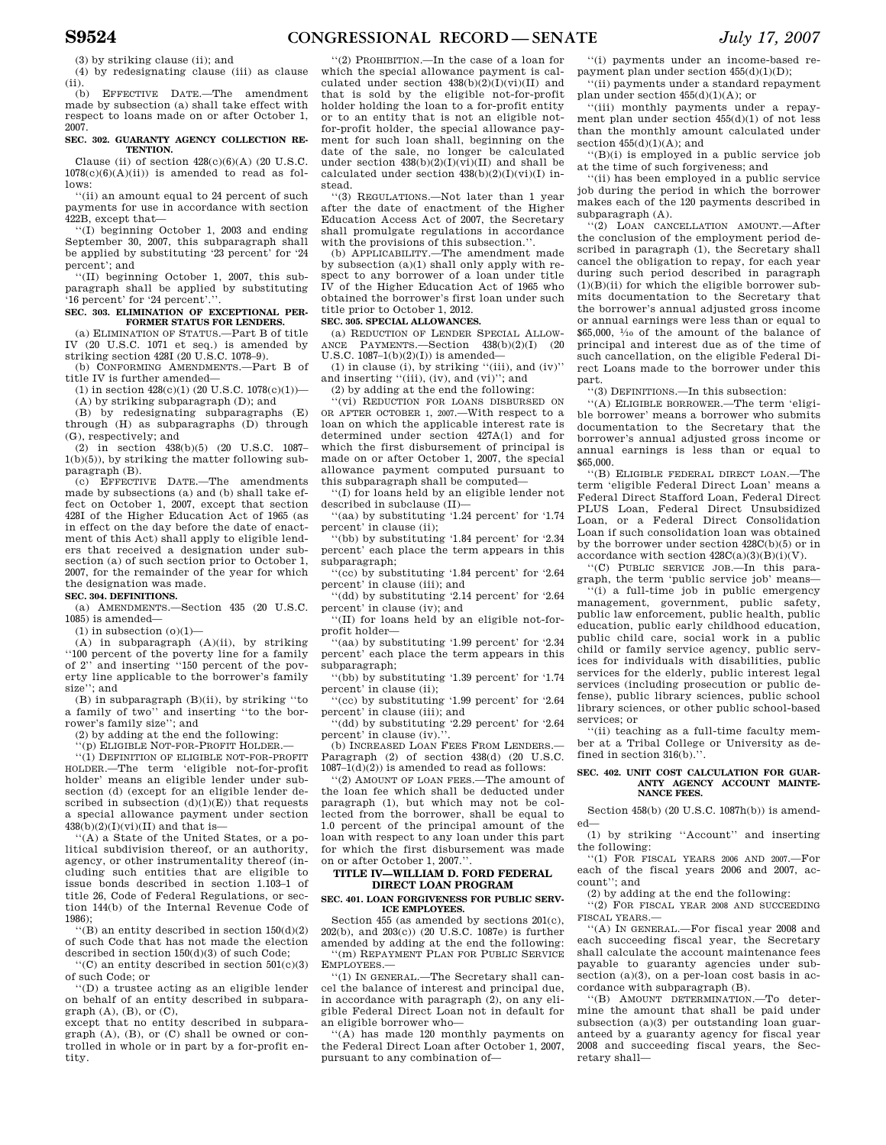(3) by striking clause (ii); and

(4) by redesignating clause (iii) as clause  $\frac{(\text{ii})}{(\text{b})}$ 

(b) EFFECTIVE DATE.—The amendment made by subsection (a) shall take effect with respect to loans made on or after October 1, 2007.

#### **SEC. 302. GUARANTY AGENCY COLLECTION RE-TENTION.**

Clause (ii) of section  $428(c)(6)(A)$  (20 U.S.C.  $1078(c)(6)(A)(ii)$  is amended to read as follows:

''(ii) an amount equal to 24 percent of such payments for use in accordance with section 422B, except that—

''(I) beginning October 1, 2003 and ending September 30, 2007, this subparagraph shall be applied by substituting '23 percent' for '24 percent'; and

''(II) beginning October 1, 2007, this subparagraph shall be applied by substituting '16 percent' for '24 percent'.''.

#### **SEC. 303. ELIMINATION OF EXCEPTIONAL PER-FORMER STATUS FOR LENDERS.**

(a) ELIMINATION OF STATUS.—Part B of title IV (20 U.S.C. 1071 et seq.) is amended by striking section 428I (20 U.S.C. 1078–9).

(b) CONFORMING AMENDMENTS.—Part B of title IV is further amended—

(1) in section  $428(c)(1)$  (20 U.S.C.  $1078(c)(1)$ ) (A) by striking subparagraph (D); and

(B) by redesignating subparagraphs (E) through (H) as subparagraphs (D) through (G), respectively; and

(2) in section 438(b)(5) (20 U.S.C. 1087– 1(b)(5)), by striking the matter following subparagraph (B).

(c) EFFECTIVE DATE.—The amendments made by subsections (a) and (b) shall take effect on October 1, 2007, except that section 428I of the Higher Education Act of 1965 (as in effect on the day before the date of enactment of this Act) shall apply to eligible lenders that received a designation under subsection (a) of such section prior to October 1, 2007, for the remainder of the year for which the designation was made.

# **SEC. 304. DEFINITIONS.**

(a) AMENDMENTS.—Section 435 (20 U.S.C. 1085) is amended—

 $(1)$  in subsection  $(0)(1)$ —

(A) in subparagraph (A)(ii), by striking ''100 percent of the poverty line for a family of 2'' and inserting ''150 percent of the poverty line applicable to the borrower's family size''; and

(B) in subparagraph (B)(ii), by striking ''to a family of two'' and inserting ''to the borrower's family size''; and

(2) by adding at the end the following:

'(p) ELIGIBLE NOT-FOR-PROFIT HOLDER.

''(1) DEFINITION OF ELIGIBLE NOT-FOR-PROFIT HOLDER.—The term 'eligible not-for-profit holder' means an eligible lender under subsection (d) (except for an eligible lender described in subsection  $(\mathrm{d})(1)(\mathrm{E}))$  that requests a special allowance payment under section  $438(b)(2)(I)(vi)(II)$  and that is-

''(A) a State of the United States, or a political subdivision thereof, or an authority, agency, or other instrumentality thereof (including such entities that are eligible to issue bonds described in section 1.103–1 of title 26, Code of Federal Regulations, or section 144(b) of the Internal Revenue Code of 1986);

''(B) an entity described in section 150(d)(2) of such Code that has not made the election described in section 150(d)(3) of such Code;

''(C) an entity described in section 501(c)(3) of such Code; or

''(D) a trustee acting as an eligible lender on behalf of an entity described in subparagraph (A), (B), or (C),

except that no entity described in subparagraph (A), (B), or (C) shall be owned or controlled in whole or in part by a for-profit entity.

''(2) PROHIBITION.—In the case of a loan for which the special allowance payment is calculated under section  $438(b)(2)(I)(vi)(II)$  and that is sold by the eligible not-for-profit holder holding the loan to a for-profit entity or to an entity that is not an eligible notfor-profit holder, the special allowance payment for such loan shall, beginning on the date of the sale, no longer be calculated under section  $438(b)(2)(I)(vi)(II)$  and shall be calculated under section  $438(b)(2)(I)(vi)(I)$  instead.

''(3) REGULATIONS.—Not later than 1 year after the date of enactment of the Higher Education Access Act of 2007, the Secretary shall promulgate regulations in accordance with the provisions of this subsection.'

(b) APPLICABILITY.—The amendment made by subsection (a)(1) shall only apply with respect to any borrower of a loan under title IV of the Higher Education Act of 1965 who obtained the borrower's first loan under such title prior to October 1, 2012.

# **SEC. 305. SPECIAL ALLOWANCES.**

(a) REDUCTION OF LENDER SPECIAL ALLOW-ANCE PAYMENTS.—Section 438(b)(2)(I) (20 U.S.C.  $1087-1(b)(2)(1)$  is amended-

(1) in clause (i), by striking ''(iii), and (iv)'' and inserting ''(iii), (iv), and (vi)''; and

(2) by adding at the end the following:

'(vi) REDUCTION FOR LOANS DISBURSED ON OR AFTER OCTOBER 1, 2007.—With respect to a loan on which the applicable interest rate is determined under section 427A(l) and for which the first disbursement of principal is made on or after October 1, 2007, the special allowance payment computed pursuant to this subparagraph shall be computed—

''(I) for loans held by an eligible lender not described in subclause (II)—

''(aa) by substituting '1.24 percent' for '1.74 percent' in clause (ii);

''(bb) by substituting '1.84 percent' for '2.34 percent' each place the term appears in this subparagraph;

''(cc) by substituting '1.84 percent' for '2.64 percent' in clause (iii); and

''(dd) by substituting '2.14 percent' for '2.64 percent' in clause (iv); and

''(II) for loans held by an eligible not-forprofit holder—

''(aa) by substituting '1.99 percent' for '2.34 percent' each place the term appears in this subparagraph;

''(bb) by substituting '1.39 percent' for '1.74 percent' in clause (ii);

''(cc) by substituting '1.99 percent' for '2.64 percent' in clause (iii); and

''(dd) by substituting '2.29 percent' for '2.64 percent' in clause (iv).

(b) INCREASED LOAN FEES FROM LENDERS. Paragraph (2) of section 438(d) (20 U.S.C.  $1087-1(d)(2)$  is amended to read as follows:

''(2) AMOUNT OF LOAN FEES.—The amount of the loan fee which shall be deducted under paragraph (1), but which may not be collected from the borrower, shall be equal to 1.0 percent of the principal amount of the loan with respect to any loan under this part for which the first disbursement was made on or after October 1, 2007."

#### **TITLE IV—WILLIAM D. FORD FEDERAL DIRECT LOAN PROGRAM**

#### **SEC. 401. LOAN FORGIVENESS FOR PUBLIC SERV-ICE EMPLOYEES.**

Section 455 (as amended by sections 201(c), 202(b), and 203(c)) (20 U.S.C. 1087e) is further amended by adding at the end the following: ''(m) REPAYMENT PLAN FOR PUBLIC SERVICE EMPLOYEES.—

''(1) IN GENERAL.—The Secretary shall cancel the balance of interest and principal due, in accordance with paragraph (2), on any eligible Federal Direct Loan not in default for an eligible borrower who—

 $f(A)$  has made 120 monthly payments on the Federal Direct Loan after October 1, 2007, pursuant to any combination of—

''(i) payments under an income-based repayment plan under section 455(d)(1)(D);

''(ii) payments under a standard repayment plan under section 455(d)(1)(A); or

''(iii) monthly payments under a repayment plan under section 455(d)(1) of not less than the monthly amount calculated under section  $455(d)(1)(A)$ ; and

''(B)(i) is employed in a public service job at the time of such forgiveness; and

''(ii) has been employed in a public service job during the period in which the borrower makes each of the 120 payments described in subparagraph (A).

''(2) LOAN CANCELLATION AMOUNT.—After the conclusion of the employment period described in paragraph (1), the Secretary shall cancel the obligation to repay, for each year during such period described in paragraph  $(1)(B)(ii)$  for which the eligible borrower submits documentation to the Secretary that the borrower's annual adjusted gross income or annual earnings were less than or equal to \$65,000, 1⁄10 of the amount of the balance of principal and interest due as of the time of such cancellation, on the eligible Federal Direct Loans made to the borrower under this part.

''(3) DEFINITIONS.—In this subsection:

''(A) ELIGIBLE BORROWER.—The term 'eligible borrower' means a borrower who submits documentation to the Secretary that the borrower's annual adjusted gross income or annual earnings is less than or equal to \$65,000.

''(B) ELIGIBLE FEDERAL DIRECT LOAN.—The term 'eligible Federal Direct Loan' means a Federal Direct Stafford Loan, Federal Direct PLUS Loan, Federal Direct Unsubsidized Loan, or a Federal Direct Consolidation Loan if such consolidation loan was obtained by the borrower under section 428C(b)(5) or in accordance with section  $428C(a)(3)(B)(i)(V)$ .

''(C) PUBLIC SERVICE JOB.—In this paragraph, the term 'public service job' means—

''(i) a full-time job in public emergency management, government, public safety, public law enforcement, public health, public education, public early childhood education, public child care, social work in a public child or family service agency, public services for individuals with disabilities, public services for the elderly, public interest legal services (including prosecution or public defense), public library sciences, public school library sciences, or other public school-based services; or

''(ii) teaching as a full-time faculty member at a Tribal College or University as defined in section  $316(b)$ .

#### **SEC. 402. UNIT COST CALCULATION FOR GUAR-ANTY AGENCY ACCOUNT MAINTE-NANCE FEES.**

Section 458(b) (20 U.S.C. 1087h(b)) is amended—

(1) by striking ''Account'' and inserting the following:

''(1) FOR FISCAL YEARS 2006 AND 2007.—For each of the fiscal years 2006 and 2007, account''; and

(2) by adding at the end the following:

''(2) FOR FISCAL YEAR 2008 AND SUCCEEDING FISCAL YEARS.—

''(A) IN GENERAL.—For fiscal year 2008 and each succeeding fiscal year, the Secretary shall calculate the account maintenance fees payable to guaranty agencies under subsection (a)(3), on a per-loan cost basis in accordance with subparagraph (B).

''(B) AMOUNT DETERMINATION.—To determine the amount that shall be paid under subsection (a)(3) per outstanding loan guaranteed by a guaranty agency for fiscal year 2008 and succeeding fiscal years, the Secretary shall—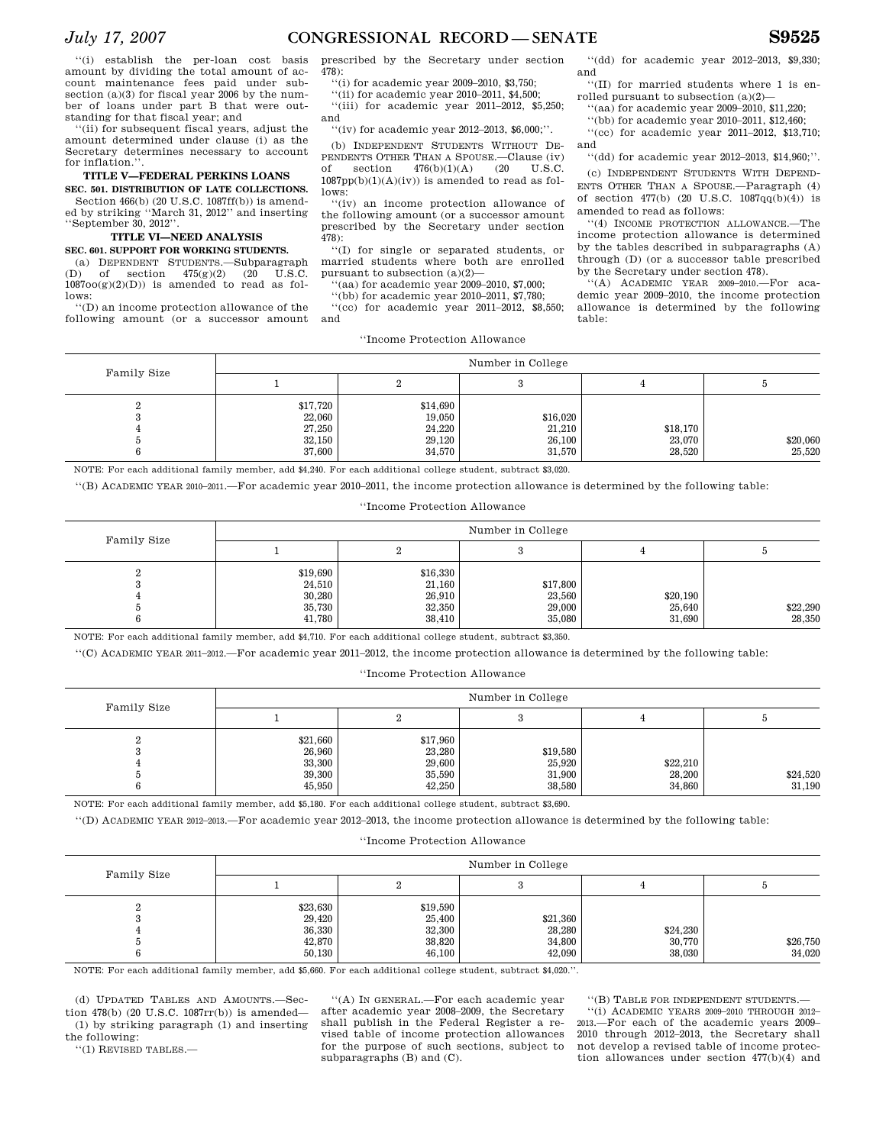''(i) establish the per-loan cost basis amount by dividing the total amount of account maintenance fees paid under subsection (a)(3) for fiscal year 2006 by the number of loans under part B that were outstanding for that fiscal year; and

''(ii) for subsequent fiscal years, adjust the amount determined under clause (i) as the Secretary determines necessary to account for inflation."

# **TITLE V—FEDERAL PERKINS LOANS**

**SEC. 501. DISTRIBUTION OF LATE COLLECTIONS.**  Section 466(b) (20 U.S.C. 1087ff(b)) is amended by striking ''March 31, 2012'' and inserting

# ''September 30, 2012''.

# **TITLE VI—NEED ANALYSIS**

**SEC. 601. SUPPORT FOR WORKING STUDENTS.** 

(a) DEPENDENT STUDENTS.—Subparagraph (D) of section 475(g)(2) (20 U.S.C.  $1087oo(g)(2)(D)$ ) is amended to read as follows:

''(D) an income protection allowance of the following amount (or a successor amount prescribed by the Secretary under section 478):

''(i) for academic year 2009–2010, \$3,750;

''(ii) for academic year 2010–2011, \$4,500; ''(iii) for academic year 2011–2012, \$5,250; and

''(iv) for academic year 2012–2013, \$6,000;''.

(b) INDEPENDENT STUDENTS WITHOUT DE-PENDENTS OTHER THAN A SPOUSE.—Clause (iv) of section  $476(b)(1)(A)$  (20 U.S.C.  $476(b)(1)(A)$  $1087\mathrm{pp(b)}(1)(\mathrm{A})(\mathrm{iv}))$  is amended to read as follows:

''(iv) an income protection allowance of the following amount (or a successor amount prescribed by the Secretary under section 478):

''(I) for single or separated students, or married students where both are enrolled pursuant to subsection (a)(2)—

''(aa) for academic year 2009–2010, \$7,000;

''(bb) for academic year 2010–2011, \$7,780;

''(cc) for academic year 2011–2012, \$8,550; and

''(dd) for academic year 2012–2013, \$9,330; and ''(II) for married students where 1 is en-

rolled pursuant to subsection (a)(2)—

''(aa) for academic year 2009–2010, \$11,220; ''(bb) for academic year 2010–2011, \$12,460;

''(cc) for academic year 2011–2012, \$13,710; and

''(dd) for academic year 2012–2013, \$14,960;''.

(c) INDEPENDENT STUDENTS WITH DEPEND-ENTS OTHER THAN A SPOUSE.—Paragraph (4) of section  $477(b)$  (20 U.S.C.  $1087qq(b)(4)$ ) is amended to read as follows:

''(4) INCOME PROTECTION ALLOWANCE.—The income protection allowance is determined by the tables described in subparagraphs (A) through (D) (or a successor table prescribed by the Secretary under section 478).

''(A) ACADEMIC YEAR 2009–2010.—For academic year 2009–2010, the income protection allowance is determined by the following table:

|  | "Income Protection Allowance" |  |
|--|-------------------------------|--|
|--|-------------------------------|--|

| Family Size | Number in College                                |                                                  |                                        |                              |                    |
|-------------|--------------------------------------------------|--------------------------------------------------|----------------------------------------|------------------------------|--------------------|
|             |                                                  |                                                  |                                        |                              |                    |
| ∠           | \$17,720<br>22,060<br>27,250<br>32,150<br>37,600 | \$14,690<br>19,050<br>24,220<br>29,120<br>34,570 | \$16,020<br>21,210<br>26,100<br>31,570 | \$18,170<br>23,070<br>28,520 | \$20,060<br>25,520 |

NOTE: For each additional family member, add \$4,240. For each additional college student, subtract \$3,020.

''(B) ACADEMIC YEAR 2010–2011.—For academic year 2010–2011, the income protection allowance is determined by the following table:

# ''Income Protection Allowance

| Family Size |                                                  |                                                  | Number in College                      |                              |                    |
|-------------|--------------------------------------------------|--------------------------------------------------|----------------------------------------|------------------------------|--------------------|
|             |                                                  |                                                  |                                        |                              |                    |
|             | \$19,690<br>24,510<br>30,280<br>35,730<br>41,780 | \$16,330<br>21,160<br>26,910<br>32,350<br>38,410 | \$17,800<br>23,560<br>29,000<br>35,080 | \$20,190<br>25,640<br>31.690 | \$22,290<br>28,350 |

NOTE: For each additional family member, add \$4,710. For each additional college student, subtract \$3,350.

''(C) ACADEMIC YEAR 2011–2012.—For academic year 2011–2012, the income protection allowance is determined by the following table:

# ''Income Protection Allowance

| Family Size | Number in College                                |                                                  |                                        |                              |                    |
|-------------|--------------------------------------------------|--------------------------------------------------|----------------------------------------|------------------------------|--------------------|
|             |                                                  |                                                  |                                        |                              |                    |
|             | \$21,660<br>26,960<br>33,300<br>39,300<br>45.950 | \$17,960<br>23,280<br>29,600<br>35,590<br>42,250 | \$19,580<br>25,920<br>31,900<br>38.580 | \$22,210<br>28,200<br>34.860 | \$24,520<br>31,190 |

NOTE: For each additional family member, add \$5,180. For each additional college student, subtract \$3,690.

''(D) ACADEMIC YEAR 2012–2013.—For academic year 2012–2013, the income protection allowance is determined by the following table:

# ''Income Protection Allowance

| Family Size | Number in College                                |                                                  |                                        |                              |                    |
|-------------|--------------------------------------------------|--------------------------------------------------|----------------------------------------|------------------------------|--------------------|
|             |                                                  |                                                  |                                        |                              |                    |
| ິ           | \$23,630<br>29,420<br>36,330<br>42,870<br>50,130 | \$19,590<br>25,400<br>32,300<br>38,820<br>46,100 | \$21,360<br>28,280<br>34,800<br>42,090 | \$24,230<br>30,770<br>38,030 | \$26,750<br>34,020 |

NOTE: For each additional family member, add \$5,660. For each additional college student, subtract \$4,020.''.

(d) UPDATED TABLES AND AMOUNTS.—Section 478(b) (20 U.S.C. 1087rr(b)) is amended— (1) by striking paragraph (1) and inserting the following:

''(1) REVISED TABLES.—

''(A) IN GENERAL.—For each academic year after academic year 2008–2009, the Secretary shall publish in the Federal Register a revised table of income protection allowances for the purpose of such sections, subject to subparagraphs (B) and (C).

''(B) TABLE FOR INDEPENDENT STUDENTS.—

''(i) ACADEMIC YEARS 2009–2010 THROUGH 2012– 2013.—For each of the academic years 2009– 2010 through 2012–2013, the Secretary shall not develop a revised table of income protection allowances under section 477(b)(4) and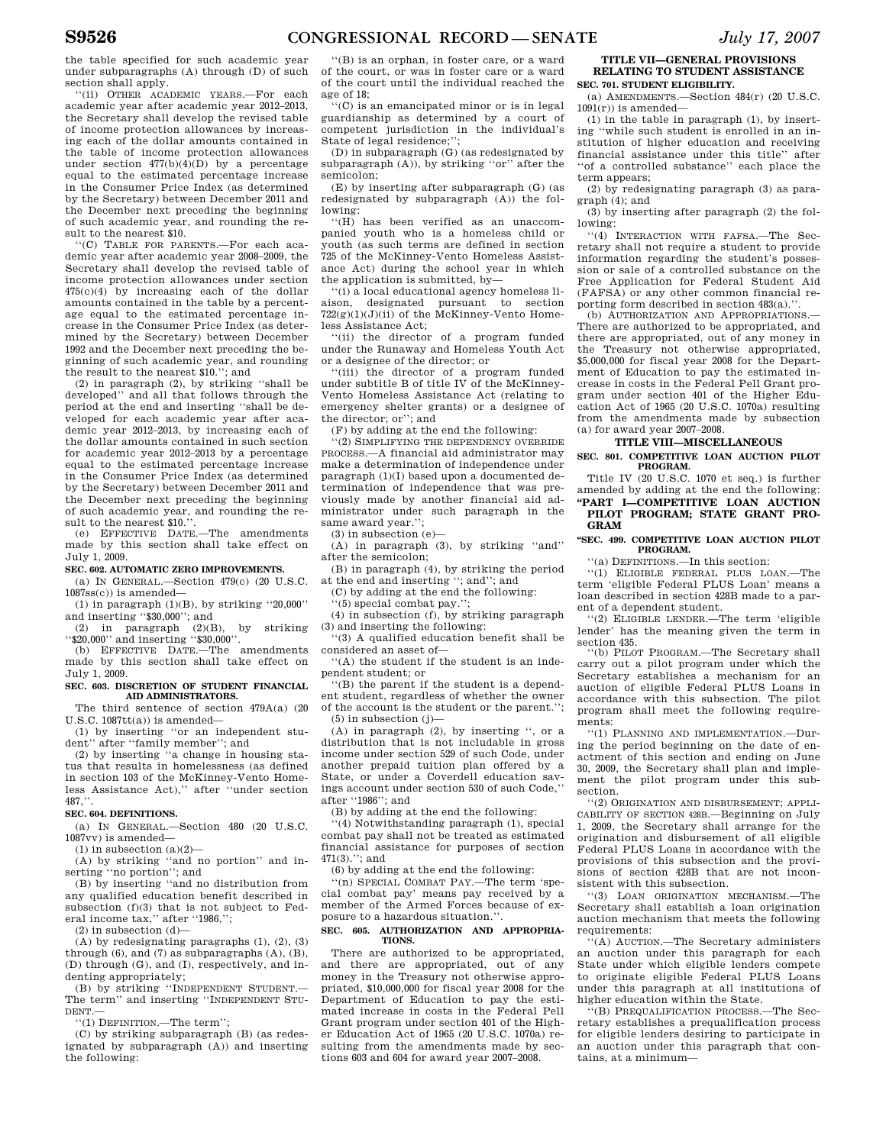the table specified for such academic year under subparagraphs (A) through (D) of such section shall apply.

''(ii) OTHER ACADEMIC YEARS.—For each academic year after academic year 2012–2013, the Secretary shall develop the revised table of income protection allowances by increasing each of the dollar amounts contained in the table of income protection allowances under section  $477(b)(4)(D)$  by a percentage equal to the estimated percentage increase in the Consumer Price Index (as determined by the Secretary) between December 2011 and the December next preceding the beginning of such academic year, and rounding the result to the nearest \$10.

''(C) TABLE FOR PARENTS.—For each academic year after academic year 2008–2009, the Secretary shall develop the revised table of income protection allowances under section 475(c)(4) by increasing each of the dollar amounts contained in the table by a percentage equal to the estimated percentage increase in the Consumer Price Index (as determined by the Secretary) between December 1992 and the December next preceding the beginning of such academic year, and rounding the result to the nearest \$10.''; and

(2) in paragraph (2), by striking ''shall be developed'' and all that follows through the period at the end and inserting ''shall be developed for each academic year after academic year 2012–2013, by increasing each of the dollar amounts contained in such section for academic year 2012–2013 by a percentage equal to the estimated percentage increase in the Consumer Price Index (as determined by the Secretary) between December 2011 and the December next preceding the beginning of such academic year, and rounding the result to the nearest \$10."

(e) EFFECTIVE DATE.—The amendments made by this section shall take effect on July 1, 2009.

#### **SEC. 602. AUTOMATIC ZERO IMPROVEMENTS.**

(a) IN GENERAL.—Section 479(c) (20 U.S.C.  $1087$ ss $(c)$ ) is amended—

(1) in paragraph  $(1)(B)$ , by striking "20,000" and inserting ''\$30,000''; and

(2) in paragraph (2)(B), by striking ''\$20,000'' and inserting ''\$30,000''.

(b) EFFECTIVE DATE.—The amendments made by this section shall take effect on July 1, 2009.

#### **SEC. 603. DISCRETION OF STUDENT FINANCIAL AID ADMINISTRATORS.**

The third sentence of section 479A(a) (20  $U.S.C. 1087tt(a)$  is amended-

(1) by inserting ''or an independent student'' after ''family member''; and

(2) by inserting ''a change in housing status that results in homelessness (as defined in section 103 of the McKinney-Vento Homeless Assistance Act),'' after ''under section 487,''.

#### **SEC. 604. DEFINITIONS.**

(a) IN GENERAL.  $-$ Section 480 (20 U.S.C. 1087vv) is amended—

 $(1)$  in subsection  $(a)(2)$ —

(A) by striking ''and no portion'' and inserting ''no portion''; and

(B) by inserting ''and no distribution from any qualified education benefit described in subsection (f)(3) that is not subject to Federal income tax," after "1986,";

 $(2)$  in subsection  $(d)$ —

(A) by redesignating paragraphs (1), (2), (3) through (6), and (7) as subparagraphs (A), (B), (D) through (G), and (I), respectively, and indenting appropriately;

(B) by striking "INDEPENDENT STUDENT. The term'' and inserting ''INDEPENDENT STU-DENT.—

''(1) DEFINITION.—The term'';

(C) by striking subparagraph (B) (as redesignated by subparagraph (A)) and inserting the following:

''(B) is an orphan, in foster care, or a ward of the court, or was in foster care or a ward of the court until the individual reached the age of 18;

''(C) is an emancipated minor or is in legal guardianship as determined by a court of competent jurisdiction in the individual's State of legal residence;'';

(D) in subparagraph (G) (as redesignated by subparagraph (A)), by striking ''or'' after the semicolon;

(E) by inserting after subparagraph (G) (as redesignated by subparagraph (A)) the following:

''(H) has been verified as an unaccompanied youth who is a homeless child or youth (as such terms are defined in section 725 of the McKinney-Vento Homeless Assistance Act) during the school year in which the application is submitted, by—

''(i) a local educational agency homeless liaison, designated pursuant to section 722(g)(1)(J)(ii) of the McKinney-Vento Homeless Assistance Act;

''(ii) the director of a program funded under the Runaway and Homeless Youth Act or a designee of the director; or

''(iii) the director of a program funded under subtitle B of title IV of the McKinney-Vento Homeless Assistance Act (relating to emergency shelter grants) or a designee of the director; or''; and

(F) by adding at the end the following:

''(2) SIMPLIFYING THE DEPENDENCY OVERRIDE PROCESS.—A financial aid administrator may make a determination of independence under paragraph (1)(I) based upon a documented determination of independence that was previously made by another financial aid administrator under such paragraph in the same award year.'';

(3) in subsection (e)—

(A) in paragraph (3), by striking ''and'' after the semicolon;

(B) in paragraph (4), by striking the period at the end and inserting ''; and''; and

(C) by adding at the end the following:

''(5) special combat pay.'';

(4) in subsection (f), by striking paragraph (3) and inserting the following:

''(3) A qualified education benefit shall be considered an asset of—

''(A) the student if the student is an independent student; or

''(B) the parent if the student is a dependent student, regardless of whether the owner of the account is the student or the parent.'';

 $(5)$  in subsection  $(j)$ — (A) in paragraph (2), by inserting ", or a distribution that is not includable in gross income under section 529 of such Code, under

another prepaid tuition plan offered by a State, or under a Coverdell education savings account under section 530 of such Code,'' after ''1986''; and

(B) by adding at the end the following:

''(4) Notwithstanding paragraph (1), special combat pay shall not be treated as estimated financial assistance for purposes of section 471(3).''; and

(6) by adding at the end the following:

''(n) SPECIAL COMBAT PAY.—The term 'special combat pay' means pay received by a member of the Armed Forces because of exposure to a hazardous situation.''.

#### **SEC. 605. AUTHORIZATION AND APPROPRIA-TIONS.**

There are authorized to be appropriated, and there are appropriated, out of any money in the Treasury not otherwise appropriated, \$10,000,000 for fiscal year 2008 for the Department of Education to pay the estimated increase in costs in the Federal Pell Grant program under section 401 of the Higher Education Act of 1965 (20 U.S.C. 1070a) resulting from the amendments made by sections 603 and 604 for award year 2007–2008.

## **TITLE VII—GENERAL PROVISIONS RELATING TO STUDENT ASSISTANCE**

**SEC. 701. STUDENT ELIGIBILITY.** 

(a) AMENDMENTS.—Section 484(r) (20 U.S.C.  $1091(r)$ ) is amended—

(1) in the table in paragraph (1), by inserting ''while such student is enrolled in an institution of higher education and receiving financial assistance under this title'' after ''of a controlled substance'' each place the term appears;

(2) by redesignating paragraph (3) as paragraph (4); and

(3) by inserting after paragraph (2) the following:

''(4) INTERACTION WITH FAFSA.—The Secretary shall not require a student to provide information regarding the student's possession or sale of a controlled substance on the Free Application for Federal Student Aid (FAFSA) or any other common financial reporting form described in section  $483(a)$ .

(b) AUTHORIZATION AND APPROPRIATIONS.— There are authorized to be appropriated, and there are appropriated, out of any money in the Treasury not otherwise appropriated, \$5,000,000 for fiscal year 2008 for the Department of Education to pay the estimated increase in costs in the Federal Pell Grant program under section 401 of the Higher Education Act of 1965 (20 U.S.C. 1070a) resulting from the amendments made by subsection (a) for award year 2007–2008.

# **TITLE VIII—MISCELLANEOUS**

**SEC. 801. COMPETITIVE LOAN AUCTION PILOT PROGRAM.** 

Title IV (20 U.S.C. 1070 et seq.) is further amended by adding at the end the following: **''PART I—COMPETITIVE LOAN AUCTION** 

**PILOT PROGRAM; STATE GRANT PRO-GRAM** 

#### **''SEC. 499. COMPETITIVE LOAN AUCTION PILOT PROGRAM.**

''(a) DEFINITIONS.—In this section:

''(1) ELIGIBLE FEDERAL PLUS LOAN.—The term 'eligible Federal PLUS Loan' means a loan described in section 428B made to a parent of a dependent student.

''(2) ELIGIBLE LENDER.—The term 'eligible lender' has the meaning given the term in section 435.

''(b) PILOT PROGRAM.—The Secretary shall carry out a pilot program under which the Secretary establishes a mechanism for an auction of eligible Federal PLUS Loans in accordance with this subsection. The pilot program shall meet the following requirements:

''(1) PLANNING AND IMPLEMENTATION.—During the period beginning on the date of enactment of this section and ending on June 30, 2009, the Secretary shall plan and implement the pilot program under this subsection.

''(2) ORIGINATION AND DISBURSEMENT; APPLI-CABILITY OF SECTION 428B.—Beginning on July 1, 2009, the Secretary shall arrange for the origination and disbursement of all eligible Federal PLUS Loans in accordance with the provisions of this subsection and the provisions of section 428B that are not inconsistent with this subsection.

''(3) LOAN ORIGINATION MECHANISM.—The Secretary shall establish a loan origination auction mechanism that meets the following requirements:

''(A) AUCTION.—The Secretary administers an auction under this paragraph for each State under which eligible lenders compete to originate eligible Federal PLUS Loans under this paragraph at all institutions of higher education within the State.

''(B) PREQUALIFICATION PROCESS.—The Secretary establishes a prequalification process for eligible lenders desiring to participate in an auction under this paragraph that contains, at a minimum—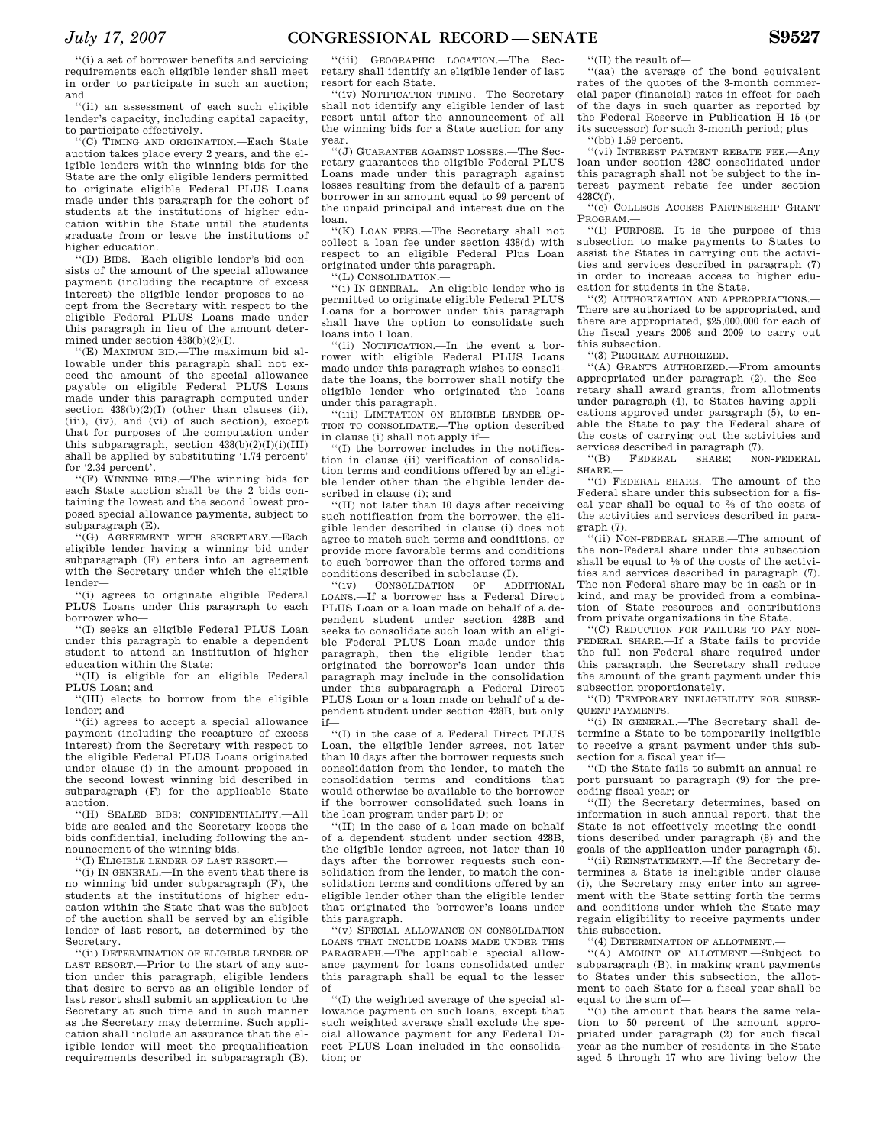''(i) a set of borrower benefits and servicing requirements each eligible lender shall meet in order to participate in such an auction; and

''(ii) an assessment of each such eligible lender's capacity, including capital capacity, to participate effectively.

''(C) TIMING AND ORIGINATION.—Each State auction takes place every 2 years, and the eligible lenders with the winning bids for the State are the only eligible lenders permitted to originate eligible Federal PLUS Loans made under this paragraph for the cohort of students at the institutions of higher education within the State until the students graduate from or leave the institutions of higher education.

''(D) BIDS.—Each eligible lender's bid consists of the amount of the special allowance payment (including the recapture of excess interest) the eligible lender proposes to accept from the Secretary with respect to the eligible Federal PLUS Loans made under this paragraph in lieu of the amount determined under section 438(b)(2)(I).

''(E) MAXIMUM BID.—The maximum bid allowable under this paragraph shall not exceed the amount of the special allowance payable on eligible Federal PLUS Loans made under this paragraph computed under section  $438(b)(2)(1)$  (other than clauses (ii), (iii), (iv), and (vi) of such section), except that for purposes of the computation under this subparagraph, section  $438(b)(2)(I)(i)(III)$ shall be applied by substituting '1.74 percent' for '2.34 percent'.

''(F) WINNING BIDS.—The winning bids for each State auction shall be the 2 bids containing the lowest and the second lowest proposed special allowance payments, subject to subparagraph (E).

''(G) AGREEMENT WITH SECRETARY.—Each eligible lender having a winning bid under subparagraph (F) enters into an agreement with the Secretary under which the eligible lender—

''(i) agrees to originate eligible Federal PLUS Loans under this paragraph to each borrower who—

''(I) seeks an eligible Federal PLUS Loan under this paragraph to enable a dependent student to attend an institution of higher education within the State;

''(II) is eligible for an eligible Federal PLUS Loan; and

''(III) elects to borrow from the eligible lender; and

''(ii) agrees to accept a special allowance payment (including the recapture of excess interest) from the Secretary with respect to the eligible Federal PLUS Loans originated under clause (i) in the amount proposed in the second lowest winning bid described in subparagraph (F) for the applicable State auction.

''(H) SEALED BIDS; CONFIDENTIALITY.—All bids are sealed and the Secretary keeps the bids confidential, including following the announcement of the winning bids.

''(I) ELIGIBLE LENDER OF LAST RESORT.—

''(i) IN GENERAL.—In the event that there is no winning bid under subparagraph (F), the students at the institutions of higher education within the State that was the subject of the auction shall be served by an eligible lender of last resort, as determined by the Secretary.

''(ii) DETERMINATION OF ELIGIBLE LENDER OF LAST RESORT.—Prior to the start of any auction under this paragraph, eligible lenders that desire to serve as an eligible lender of last resort shall submit an application to the Secretary at such time and in such manner as the Secretary may determine. Such application shall include an assurance that the eligible lender will meet the prequalification requirements described in subparagraph (B).

''(iii) GEOGRAPHIC LOCATION.—The Secretary shall identify an eligible lender of last resort for each State.

''(iv) NOTIFICATION TIMING.—The Secretary shall not identify any eligible lender of last resort until after the announcement of all the winning bids for a State auction for any year.

''(J) GUARANTEE AGAINST LOSSES.—The Secretary guarantees the eligible Federal PLUS Loans made under this paragraph against losses resulting from the default of a parent borrower in an amount equal to 99 percent of the unpaid principal and interest due on the loan.

''(K) LOAN FEES.—The Secretary shall not collect a loan fee under section 438(d) with respect to an eligible Federal Plus Loan originated under this paragraph.

''(L) CONSOLIDATION.—

''(i) IN GENERAL.—An eligible lender who is permitted to originate eligible Federal PLUS Loans for a borrower under this paragraph shall have the option to consolidate such loans into 1 loan.

''(ii) NOTIFICATION.—In the event a borrower with eligible Federal PLUS Loans made under this paragraph wishes to consolidate the loans, the borrower shall notify the eligible lender who originated the loans under this paragraph.

''(iii) LIMITATION ON ELIGIBLE LENDER OP-TION TO CONSOLIDATE.—The option described in clause (i) shall not apply if—

''(I) the borrower includes in the notification in clause (ii) verification of consolidation terms and conditions offered by an eligible lender other than the eligible lender described in clause (i); and

''(II) not later than 10 days after receiving such notification from the borrower, the eligible lender described in clause (i) does not agree to match such terms and conditions, or provide more favorable terms and conditions to such borrower than the offered terms and conditions described in subclause (I).<br>  $\frac{f'(iy)}{f(0)g''(x)}$  (iv) CONSOLIDATION OF ADDITIONAL

 $\Gamma$ <sup>'(iv)</sup> CONSOLIDATION OF LOANS.—If a borrower has a Federal Direct PLUS Loan or a loan made on behalf of a dependent student under section 428B and seeks to consolidate such loan with an eligible Federal PLUS Loan made under this paragraph, then the eligible lender that originated the borrower's loan under this paragraph may include in the consolidation under this subparagraph a Federal Direct PLUS Loan or a loan made on behalf of a dependent student under section 428B, but only if—

''(I) in the case of a Federal Direct PLUS Loan, the eligible lender agrees, not later than 10 days after the borrower requests such consolidation from the lender, to match the consolidation terms and conditions that would otherwise be available to the borrower if the borrower consolidated such loans in the loan program under part D; or

''(II) in the case of a loan made on behalf of a dependent student under section 428B, the eligible lender agrees, not later than 10 days after the borrower requests such consolidation from the lender, to match the consolidation terms and conditions offered by an eligible lender other than the eligible lender that originated the borrower's loans under this paragraph.

''(v) SPECIAL ALLOWANCE ON CONSOLIDATION LOANS THAT INCLUDE LOANS MADE UNDER THIS PARAGRAPH.—The applicable special allowance payment for loans consolidated under this paragraph shall be equal to the lesser of—

''(I) the weighted average of the special allowance payment on such loans, except that such weighted average shall exclude the special allowance payment for any Federal Direct PLUS Loan included in the consolidation; or

''(II) the result of—

''(aa) the average of the bond equivalent rates of the quotes of the 3-month commercial paper (financial) rates in effect for each of the days in such quarter as reported by the Federal Reserve in Publication H–15 (or its successor) for such 3-month period; plus ''(bb) 1.59 percent.

''(vi) INTEREST PAYMENT REBATE FEE.—Any loan under section 428C consolidated under this paragraph shall not be subject to the interest payment rebate fee under section 428C(f).

''(c) COLLEGE ACCESS PARTNERSHIP GRANT PROGRAM.—

''(1) PURPOSE.—It is the purpose of this subsection to make payments to States to assist the States in carrying out the activities and services described in paragraph (7) in order to increase access to higher education for students in the State.

''(2) AUTHORIZATION AND APPROPRIATIONS.— There are authorized to be appropriated, and there are appropriated,  $$25.000,000$  for each of the fiscal years 2008 and 2009 to carry out this subsection.

''(3) PROGRAM AUTHORIZED.—

''(A) GRANTS AUTHORIZED.—From amounts appropriated under paragraph (2), the Secretary shall award grants, from allotments under paragraph (4), to States having applications approved under paragraph (5), to enable the State to pay the Federal share of the costs of carrying out the activities and

services described in paragraph (7).<br>
"(B) FEDERAL SHARE; NON-FEDERAL  $F$ EDERAL SHARE.

''(i) FEDERAL SHARE.—The amount of the Federal share under this subsection for a fiscal year shall be equal to 2⁄3 of the costs of the activities and services described in paragraph (7).

''(ii) NON-FEDERAL SHARE.—The amount of the non-Federal share under this subsection shall be equal to 1⁄3 of the costs of the activities and services described in paragraph (7). The non-Federal share may be in cash or inkind, and may be provided from a combination of State resources and contributions from private organizations in the State.

''(C) REDUCTION FOR FAILURE TO PAY NON-FEDERAL SHARE.—If a State fails to provide the full non-Federal share required under this paragraph, the Secretary shall reduce the amount of the grant payment under this subsection proportionately.

''(D) TEMPORARY INELIGIBILITY FOR SUBSE-QUENT PAYMENTS.—

''(i) IN GENERAL.—The Secretary shall determine a State to be temporarily ineligible to receive a grant payment under this subsection for a fiscal year if—

''(I) the State fails to submit an annual report pursuant to paragraph (9) for the preceding fiscal year; or

''(II) the Secretary determines, based on information in such annual report, that the State is not effectively meeting the conditions described under paragraph (8) and the goals of the application under paragraph (5).

''(ii) REINSTATEMENT.—If the Secretary determines a State is ineligible under clause (i), the Secretary may enter into an agreement with the State setting forth the terms and conditions under which the State may regain eligibility to receive payments under this subsection.

''(4) DETERMINATION OF ALLOTMENT.—

''(A) AMOUNT OF ALLOTMENT.—Subject to subparagraph (B), in making grant payments to States under this subsection, the allotment to each State for a fiscal year shall be equal to the sum of-

''(i) the amount that bears the same relation to 50 percent of the amount appropriated under paragraph (2) for such fiscal year as the number of residents in the State aged 5 through 17 who are living below the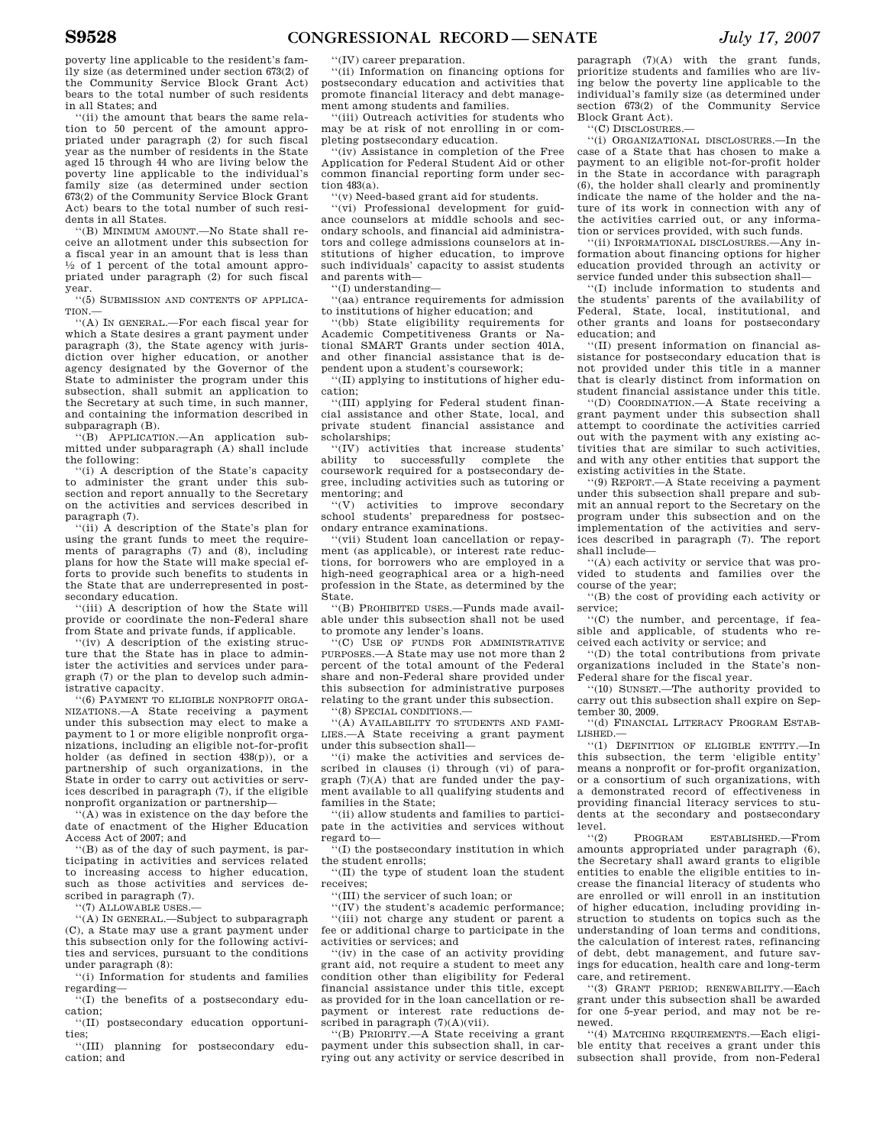poverty line applicable to the resident's family size (as determined under section 673(2) of the Community Service Block Grant Act) bears to the total number of such residents in all States; and

''(ii) the amount that bears the same relation to 50 percent of the amount appropriated under paragraph (2) for such fiscal year as the number of residents in the State aged 15 through 44 who are living below the poverty line applicable to the individual's family size (as determined under section 673(2) of the Community Service Block Grant Act) bears to the total number of such residents in all States.

''(B) MINIMUM AMOUNT.—No State shall receive an allotment under this subsection for a fiscal year in an amount that is less than  $\frac{1}{2}$  of 1 percent of the total amount appropriated under paragraph (2) for such fiscal year.

''(5) SUBMISSION AND CONTENTS OF APPLICA-TION.

''(A) IN GENERAL.—For each fiscal year for which a State desires a grant payment under paragraph (3), the State agency with jurisdiction over higher education, or another agency designated by the Governor of the State to administer the program under this subsection, shall submit an application to the Secretary at such time, in such manner, and containing the information described in subparagraph (B).

''(B) APPLICATION.—An application submitted under subparagraph (A) shall include the following:

''(i) A description of the State's capacity to administer the grant under this sub-section and report annually to the Secretary on the activities and services described in paragraph (7).

''(ii) A description of the State's plan for using the grant funds to meet the requirements of paragraphs (7) and (8), including plans for how the State will make special efforts to provide such benefits to students in the State that are underrepresented in postsecondary education.

''(iii) A description of how the State will provide or coordinate the non-Federal share from State and private funds, if applicable.

''(iv) A description of the existing structure that the State has in place to administer the activities and services under paragraph (7) or the plan to develop such administrative capacity.

''(6) PAYMENT TO ELIGIBLE NONPROFIT ORGA-NIZATIONS.—A State receiving a payment under this subsection may elect to make a payment to 1 or more eligible nonprofit organizations, including an eligible not-for-profit holder (as defined in section 438(p)), or a partnership of such organizations, in the State in order to carry out activities or services described in paragraph (7), if the eligible nonprofit organization or partnership—

''(A) was in existence on the day before the date of enactment of the Higher Education Access Act of 2007; and

''(B) as of the day of such payment, is participating in activities and services related to increasing access to higher education, such as those activities and services described in paragraph (7).

''(7) ALLOWABLE USES.—

''(A) IN GENERAL.—Subject to subparagraph (C), a State may use a grant payment under this subsection only for the following activities and services, pursuant to the conditions under paragraph (8):

''(i) Information for students and families regarding—

''(I) the benefits of a postsecondary education;

''(II) postsecondary education opportunities;

''(III) planning for postsecondary education; and

''(IV) career preparation.

''(ii) Information on financing options for postsecondary education and activities that promote financial literacy and debt management among students and families.

''(iii) Outreach activities for students who may be at risk of not enrolling in or completing postsecondary education.

''(iv) Assistance in completion of the Free Application for Federal Student Aid or other common financial reporting form under section 483(a).

''(v) Need-based grant aid for students.

''(vi) Professional development for guidance counselors at middle schools and secondary schools, and financial aid administrators and college admissions counselors at institutions of higher education, to improve such individuals' capacity to assist students and parents with—

''(I) understanding—

''(aa) entrance requirements for admission to institutions of higher education; and

''(bb) State eligibility requirements for Academic Competitiveness Grants or National SMART Grants under section 401A, and other financial assistance that is dependent upon a student's coursework;

''(II) applying to institutions of higher education;

''(III) applying for Federal student financial assistance and other State, local, and private student financial assistance and scholarships;

''(IV) activities that increase students' ability to successfully complete coursework required for a postsecondary degree, including activities such as tutoring or mentoring; and

''(V) activities to improve secondary school students' preparedness for postsecondary entrance examinations.

''(vii) Student loan cancellation or repayment (as applicable), or interest rate reductions, for borrowers who are employed in a high-need geographical area or a high-need profession in the State, as determined by the State.

''(B) PROHIBITED USES.—Funds made available under this subsection shall not be used to promote any lender's loans.

''(C) USE OF FUNDS FOR ADMINISTRATIVE PURPOSES.—A State may use not more than 2 percent of the total amount of the Federal share and non-Federal share provided under this subsection for administrative purposes relating to the grant under this subsection.

''(8) SPECIAL CONDITIONS.—

''(A) AVAILABILITY TO STUDENTS AND FAMI-LIES.—A State receiving a grant payment under this subsection shall—

''(i) make the activities and services described in clauses (i) through (vi) of paragraph (7)(A) that are funded under the payment available to all qualifying students and families in the State;

''(ii) allow students and families to participate in the activities and services without regard to—

''(I) the postsecondary institution in which the student enrolls;

''(II) the type of student loan the student receives;

''(III) the servicer of such loan; or

''(IV) the student's academic performance; ''(iii) not charge any student or parent a fee or additional charge to participate in the activities or services; and

''(iv) in the case of an activity providing grant aid, not require a student to meet any condition other than eligibility for Federal financial assistance under this title, except as provided for in the loan cancellation or repayment or interest rate reductions described in paragraph  $(7)(A)(vii)$ .

''(B) PRIORITY.—A State receiving a grant payment under this subsection shall, in carrying out any activity or service described in

paragraph (7)(A) with the grant funds, prioritize students and families who are living below the poverty line applicable to the individual's family size (as determined under section 673(2) of the Community Service Block Grant Act).

''(C) DISCLOSURES.—

''(i) ORGANIZATIONAL DISCLOSURES.—In the case of a State that has chosen to make a payment to an eligible not-for-profit holder in the State in accordance with paragraph (6), the holder shall clearly and prominently indicate the name of the holder and the nature of its work in connection with any of the activities carried out, or any information or services provided, with such funds.

''(ii) INFORMATIONAL DISCLOSURES.—Any information about financing options for higher education provided through an activity or service funded under this subsection shall—

''(I) include information to students and the students' parents of the availability of Federal, State, local, institutional, and other grants and loans for postsecondary education; and

''(II) present information on financial assistance for postsecondary education that is not provided under this title in a manner that is clearly distinct from information on student financial assistance under this title.

''(D) COORDINATION.—A State receiving a grant payment under this subsection shall attempt to coordinate the activities carried out with the payment with any existing activities that are similar to such activities, and with any other entities that support the existing activities in the State.

''(9) REPORT.—A State receiving a payment under this subsection shall prepare and submit an annual report to the Secretary on the program under this subsection and on the implementation of the activities and services described in paragraph (7). The report shall include—

''(A) each activity or service that was provided to students and families over the course of the year;

''(B) the cost of providing each activity or service;

''(C) the number, and percentage, if feasible and applicable, of students who received each activity or service; and

''(D) the total contributions from private organizations included in the State's non-Federal share for the fiscal year.

''(10) SUNSET.—The authority provided to carry out this subsection shall expire on September 30, 2009.

''(d) FINANCIAL LITERACY PROGRAM ESTAB-LISHED.—

''(1) DEFINITION OF ELIGIBLE ENTITY.—In this subsection, the term 'eligible entity' means a nonprofit or for-profit organization, or a consortium of such organizations, with a demonstrated record of effectiveness in providing financial literacy services to students at the secondary and postsecondary level.

''(2) PROGRAM ESTABLISHED.—From amounts appropriated under paragraph (6), the Secretary shall award grants to eligible entities to enable the eligible entities to increase the financial literacy of students who are enrolled or will enroll in an institution of higher education, including providing instruction to students on topics such as the understanding of loan terms and conditions, the calculation of interest rates, refinancing of debt, debt management, and future savings for education, health care and long-term care, and retirement.

''(3) GRANT PERIOD; RENEWABILITY.—Each grant under this subsection shall be awarded for one 5-year period, and may not be renewed.

''(4) MATCHING REQUIREMENTS.—Each eligible entity that receives a grant under this subsection shall provide, from non-Federal